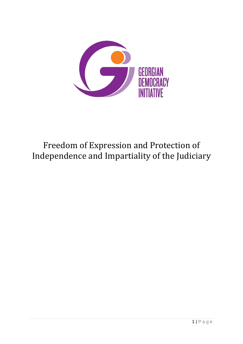

# Freedom of Expression and Protection of Independence and Impartiality of the Judiciary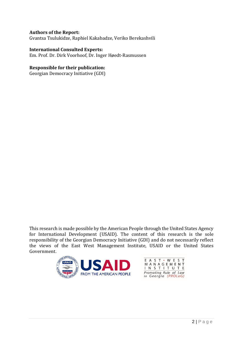#### **Authors of the Report:**

Gvantsa Tsulukidze, Raphiel Kakabadze, Veriko Berekashvili

#### **International Consulted Experts:**

Em. Prof. Dr. Dirk Voorhoof, Dr. Inger Høedt-Rasmussen

#### **Responsible for their publication:**

Georgian Democracy Initiative (GDI)

This research is made possible by the American People through the United States Agency for International Development (USAID). The content of this research is the sole responsibility of the Georgian Democracy Initiative (GDI) and do not necessarily reflect the views of the East West Management Institute, USAID or the United States Government.



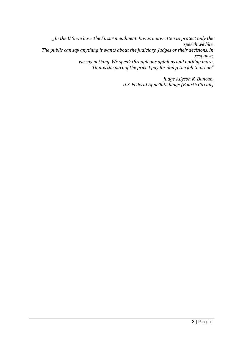*"In the U.S. we have the First Amendment. It was not written to protect only the speech we like. The public can say anything it wants about the Judiciary, Judges or their decisions. In response, we say nothing. We speak through our opinions and nothing more. That is the part of the price I pay for doing the job that I do"* 

> *Judge Allyson K. Duncan, U.S. Federal Appellate Judge (Fourth Circuit)*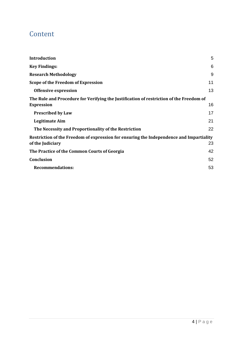## Content

| Introduction                                                                            | 5  |
|-----------------------------------------------------------------------------------------|----|
| <b>Key Findings:</b>                                                                    | 6  |
| <b>Research Methodology</b>                                                             | 9  |
| Scope of the Freedom of Expression                                                      | 11 |
| <b>Offensive expression</b>                                                             | 13 |
| The Rule and Procedure for Verifying the Justification of restriction of the Freedom of |    |
| <b>Expression</b>                                                                       | 16 |
| <b>Prescribed by Law</b>                                                                | 17 |
| <b>Legitimate Aim</b>                                                                   | 21 |
| The Necessity and Proportionality of the Restriction                                    | 22 |
| Restriction of the Freedom of expression for ensuring the Independence and Impartiality |    |
| of the Judiciary                                                                        | 23 |
| The Practice of the Common Courts of Georgia                                            | 42 |
| <b>Conclusion</b>                                                                       | 52 |
| <b>Recommendations:</b>                                                                 | 53 |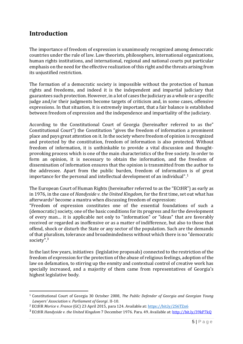## <span id="page-4-0"></span>**Introduction**

The importance of freedom of expression is unanimously recognized among democratic countries under the rule of law. Law theorists, philosophers, international organizations, human rights institutions, and international, regional and national courts put particular emphasis on the need for the effective realization of this right and the threats arising from its unjustified restriction.

The formation of a democratic society is impossible without the protection of human rights and freedoms, and indeed it is the independent and impartial judiciary that guarantees such protection. However, in a lot of cases the judiciary as a whole or a specific judge and/or their judgments become targets of criticism and, in some cases, offensive expressions. In that situation, it is extremely important, that a fair balance is established between freedom of expression and the independence and impartiality of the judiciary.

According to the Constitutional Court of Georgia (hereinafter referred to as the" Constitutional Court") the Constitution "gives the freedom of information a prominent place and pays great attention on it. In the society where freedom of opinion is recognized and protected by the constitution, freedom of information is also protected. Without freedom of information, it is unthinkable to provide a vital discussion and thoughtprovoking process which is one of the main characteristics of the free society. In order to form an opinion, it is necessary to obtain the information, and the freedom of dissemination of information ensures that the opinion is transmitted from the author to the addressee. Apart from the public burden, freedom of information is of great importance for the personal and intellectual development of an individual". 1

The European Court of Human Rights (hereinafter referred to as the "ECtHR") as early as in 1976, in the case of *Handyside v. the United Kingdom*, for the first time, set out what has afterwards<sup>2</sup> become a mantra when discussing freedom of expression:

"Freedom of expression constitutes one of the essential foundations of such a (democratic) society, one of the basic conditions for its progress and for the development of every man… it is applicable not only to "information" or "ideas" that are favorably received or regarded as inoffensive or as a matter of indifference, but also to those that offend, shock or disturb the State or any sector of the population. Such are the demands of that pluralism, tolerance and broadmindedness without which there is no "democratic society".<sup>3</sup>

In the last few years, initiatives (legislative proposals) connected to the restriction of the freedom of expression for the protection of the abuse of religious feelings, adoption of the law on defamation, to stirring up the enmity and contextual control of creative work has specially increased, and a majority of them came from representatives of Georgia's highest legislative body.

<sup>1</sup> Constitutional Court of Georgia 30 October 2008, *The Public Defender of Georgia and Georgian Young Lawyers' Association v. Parliament of Georgi*. II-10.

<sup>2</sup> ECtHR *Morice v. France* (GC) 23 April 2015, para 124. Available at: <https://bit.ly/2S6TZn6>

<sup>3</sup> ECtHR *Handyside v. the United Kingdom* 7 December 1976. Para. 49. Available at: <http://bit.ly/39kP7kQ>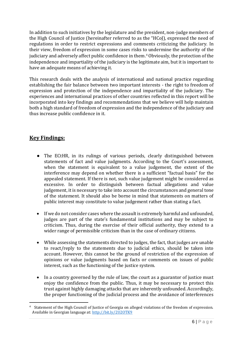In addition to such initiatives by the legislature and the president, non-judge members of the High Council of Justice (hereinafter referred to as the "HCoJ), expressed the need of regulations in order to restrict expressions and comments criticizing the judiciary. In their view, freedom of expression in some cases risks to undermine the authority of the judiciary and adversely affect public confidence in them. <sup>4</sup> Obviously, the protection of the independence and impartiality of the judiciary is the legitimate aim, but it is important to have an adequate means of achieving it.

This research deals with the analysis of international and national practice regarding establishing the fair balance between two important interests - the right to freedom of expression and protection of the independence and impartiality of the judiciary. The experiences and international practices of other countries reflected in this report will be incorporated into key findings and recommendations that we believe will help maintain both a high standard of freedom of expression and the independence of the judiciary and thus increase public confidence in it.

### <span id="page-5-0"></span>**Key Findings:**

- The ECtHR, in its rulings of various periods, clearly distinguished between statements of fact and value judgments. According to the Court's assessment, when the statement is equivalent to a value judgement, the extent of the interference may depend on whether there is a sufficient "factual basis" for the appealed statement. If there is not, such value judgement might be considered as excessive. In order to distinguish between factual allegations and value judgement, it is necessary to take into account the circumstances and general tone of the statement. It should also be borne in mind that statements on matters of public interest may constitute to value judgement rather than stating a fact.
- If we do not consider cases where the assault is extremely harmful and unfounded, judges are part of the state's fundamental institutions and may be subject to criticism. Thus, during the exercise of their official authority, they extend to a wider range of permissible criticism than in the case of ordinary citizens.
- While assessing the statements directed to judges, the fact, that judges are unable to react/reply to the statements due to judicial ethics, should be taken into account. However, this cannot be the ground of restriction of the expression of opinions or value judgments based on facts or comments on issues of public interest, such as the functioning of the justice system.
- In a country governed by the rule of law, the court as a guarantor of justice must enjoy the confidence from the public. Thus, it may be necessary to protect this trust against highly damaging attacks that are inherently unfounded. Accordingly, the proper functioning of the judicial process and the avoidance of interferences

<sup>4</sup> Statement of the High Council of Justice of Georgia on alleged violations of the freedom of expression. Available in Georgian language at: <http://bit.ly/2U2OTK9>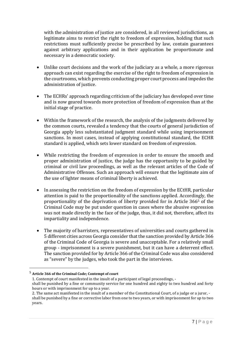with the administration of justice are considered, in all reviewed jurisdictions, as legitimate aims to restrict the right to freedom of expression, holding that such restrictions must sufficiently precise be prescribed by law, contain guarantees against arbitrary applications and in their application be proportionate and necessary in a democratic society.

- Unlike court decisions and the work of the judiciary as a whole, a more rigorous approach can exist regarding the exercise of the right to freedom of expression in the courtrooms, which prevents conducting proper court process and impedes the administration of justice.
- The ECHRs' approach regarding criticism of the judiciary has developed over time and is now geared towards more protection of freedom of expression than at the initial stage of practice.
- Within the framework of the research, the analysis of the judgments delivered by the common courts, revealed a tendency that the courts of general jurisdiction of Georgia apply less substantiated judgment standard while using imprisonment sanctions. In most cases, instead of applying constitutional standard, the ECHR standard is applied, which sets lower standard on freedom of expression.
- While restricting the freedom of expression in order to ensure the smooth and proper administration of justice, the judge has the opportunity to be guided by criminal or civil law proceedings, as well as the relevant articles of the Code of Administrative Offenses. Such an approach will ensure that the legitimate aim of the use of lighter means of criminal liberty is achieved.
- In assessing the restriction on the freedom of expression by the ECtHR, particular attention is paid to the proportionality of the sanctions applied. Accordingly, the proportionality of the deprivation of liberty provided for in Article 366<sup>5</sup> of the Criminal Code may be put under question in cases where the abusive expression was not made directly in the face of the judge, thus, it did not, therefore, affect its impartiality and independence.
- The majority of barristers, representatives of universities and courts gathered in 5 different cities across Georgia consider that the sanction provided by Article 366 of the Criminal Code of Georgia is severe and unacceptable. For a relatively small group - imprisonment is a severe punishment, but it can have a deterrent effect. The sanction provided for by Article 366 of the Criminal Code was also considered as "severe" by the judges, who took the part in the interviews.

<sup>5</sup> **Article 366 of the Criminal Code; Contempt of court**

<sup>1.</sup> Contempt of court manifested in the insult of a participant of legal proceedings, shall be punished by a fine or community service for one hundred and eighty to two hundred and forty hours or with imprisonment for up to a year.

<sup>2.</sup> The same act manifested in the insult of a member of the Constitutional Court, of a judge or a juror, shall be punished by a fine or corrective labor from one to two years, or with imprisonment for up to two years.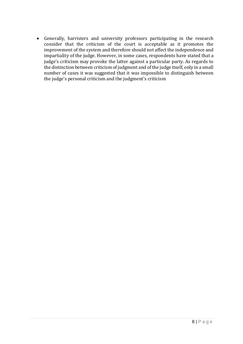• Generally, barristers and university professors participating in the research consider that the criticism of the court is acceptable as it promotes the improvement of the system and therefore should not affect the independence and impartiality of the judge. However, in some cases, respondents have stated that a judge's criticism may provoke the latter against a particular party. As regards to the distinction between criticism of judgment and of the judge itself, only in a small number of cases it was suggested that it was impossible to distinguish between the judge's personal criticism and the judgment's criticism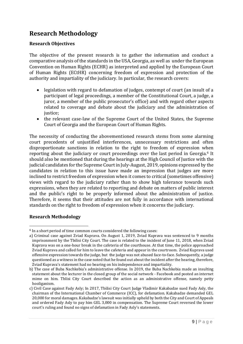## <span id="page-8-0"></span>**Research Methodology**

#### **Research Objectives**

The objective of the present research is to gather the information and conduct a comparative analysis of the standards in the USA, Georgia, as well as under the European Convention on Human Rights (ECHR) as interpreted and applied by the European Court of Human Rights (ECtHR) concerning freedom of expression and protection of the authority and impartiality of the judiciary. In particular, the research covers:

- legislation with regard to defamation of judges, contempt of court (an insult of a participant of legal proceedings, a member of the Constitutional Court, a judge, a juror, a member of the public prosecutor's office) and with regard other aspects related to coverage and debate about the judiciary and the administration of justice;
- the relevant case-law of the Supreme Court of the United States, the Supreme Court of Georgia and the European Court of Human Rights.

The necessity of conducting the abovementioned research stems from some alarming court precedents of unjustified interferences, unnecessary restrictions and often disproportionate sanctions in relation to the right to freedom of expression when reporting about the judiciary or court proceedings over the last period in Georgia.<sup>6</sup> It should also be mentioned that during the hearings at the High Council of Justice with the judicial candidates for the Supreme Court in July-August, 2019, opinions expressed by the candidates in relation to this issue have made an impression that judges are more inclined to restrict freedom of expression when it comes to critical (sometimes offensive) views with regard to the judiciary rather than to show high tolerance towards such expressions, when they are related to reporting and debate on matters of public interest and the public's right to be properly informed about the administration of justice. Therefore, it seems that their attitudes are not fully in accordance with international standards on the right to freedom of expression when it concerns the judiciary.

#### **Research Methodology**

<sup>6</sup> In a short period of time common courts considered the following cases:

a) Criminal case against Zviad Kuprava. On August 1, 2019, Zviad Kuprava was sentenced to 9 months imprisonment by the Tbilisi City Court. The case is related to the incident of June 11, 2018, when Zviad Kuprava was on a one-hour break in the cafeteria of the courthouse. At that time, the police approached Zviad Kuprava and called for him to leave the cafeteria and appear in the courtroom. Zviad Kuprava used offensive expression towards the judge, but the judge was not abused face-to-face. Subsequently, a judge questioned as a witness in the case noted that he found out about the incident after the hearing, therefore, Zviad Kuprava's statement had no bearing on his independence and impartiality.

b) The case of Buba Nachkebia's administrative offense. In 2019, the Buba Nachkebia made an insulting statement about the lecturer in the closed group of the social network - Facebook and posted an internet mime on him. Tblisi City Court described the action as an administrative offense, namely petty hooliganism.

c) Civil Case against Fady Asly; In 2017, Tbilisi City Court Judge Vladimir Kakabadze sued Fady Asly, the chairman of the International Chamber of Commerce (ICC), for defamation. Kakabadze demanded GEL 20,000 for moral damages. Kakabadze's lawsuit was initially upheld by both the City and Court of Appeals and ordered Fady Asly to pay him GEL 3,000 in compensation. The Supreme Court reversed the lower court's ruling and found no signs of defamation in Fady Asly's statements.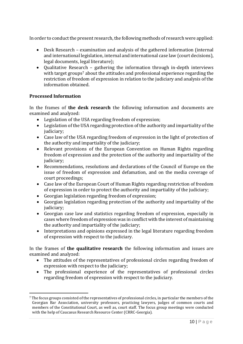In order to conduct the present research, the following methods of research were applied:

- Desk Research examination and analysis of the gathered information (internal and international legislation, internal and international case law (court decisions), legal documents, legal literature);
- Qualitative Research gathering the information through in-depth interviews with target groups<sup>7</sup> about the attitudes and professional experience regarding the restriction of freedom of expression in relation to the judiciary and analysis of the information obtained.

#### **Processed Information**

In the frames of **the desk research** the following information and documents are examined and analyzed:

- Legislation of the USA regarding freedom of expression;
- Legislation of the USA regarding protection of the authority and impartiality of the judiciary;
- Case law of the USA regarding freedom of expression in the light of protection of the authority and impartiality of the judiciary;
- Relevant provisions of the European Convention on Human Rights regarding freedom of expression and the protection of the authority and impartiality of the judiciary;
- Recommendations, resolutions and declarations of the Council of Europe on the issue of freedom of expression and defamation, and on the media coverage of court proceedings;
- Case law of the European Court of Human Rights regarding restriction of freedom of expression in order to protect the authority and impartiality of the judiciary;
- Georgian legislation regarding freedom of expression;
- Georgian legislation regarding protection of the authority and impartiality of the judiciary;
- Georgian case law and statistics regarding freedom of expression, especially in cases where freedom of expression was in conflict with the interest of maintaining the authority and impartiality of the judiciary;
- Interpretations and opinions expressed in the legal literature regarding freedom of expression with respect to the judiciary.

In the frames of **the qualitative research** the following information and issues are examined and analyzed:

- The attitudes of the representatives of professional circles regarding freedom of expression with respect to the judiciary;
- The professional experience of the representatives of professional circles regarding freedom of expression with respect to the judiciary.

<sup>7</sup> The focus groups consisted of the representatives of professional circles, in particular the members of the Georgian Bar Association, university professors, practicing lawyers, judges of common courts and members of the Constitutional Court, as well as, court staff. The focus group meetings were conducted with the help of Caucasus Research Resource Center (CRRC-Georgia).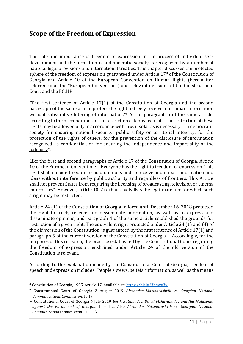## <span id="page-10-0"></span>**Scope of the Freedom of Expression**

The role and importance of freedom of expression in the process of individual selfdevelopment and the formation of a democratic society is recognized by a number of national legal provisions and international treaties. This chapter discusses the protected sphere of the freedom of expression guaranteed under Article 17<sup>8</sup> of the Constitution of Georgia and Article 10 of the European Convention on Human Rights (hereinafter referred to as the "European Convention") and relevant decisions of the Constitutional Court and the ECtHR.

"The first sentence of Article 17(1) of the Constitution of Georgia and the second paragraph of the same article protect the right to freely receive and impart information without substantive filtering of information."<sup>9</sup> As for paragraph 5 of the same article, according to the preconditions of the restriction established in it, "The restriction of these rights may be allowed only in accordance with law, insofar as is necessary in a democratic society for ensuring national security, public safety or territorial integrity, for the protection of the rights of others, for the prevention of the disclosure of information recognized as confidential, or for ensuring the independence and impartiality of the judiciary".

Like the first and second paragraphs of Article 17 of the Constitution of Georgia, Article 10 of the European Convention: "Everyone has the right to freedom of expression. This right shall include freedom to hold opinions and to receive and impart information and ideas without interference by public authority and regardless of frontiers. This Article shall not prevent States from requiring the licensing of broadcasting, television or cinema enterprises". However, article 10(2) exhaustively lists the legitimate aim for which such a right may be restricted.

Article 24 (1) of the Constitution of Georgia in force until December 16, 2018 protected the right to freely receive and disseminate information, as well as to express and disseminate opinions, and paragraph 4 of the same article established the grounds for restriction of a given right. The equivalent right protected under Article 24 (1) and (4) of the old version of the Constitution, is guaranteed by the first sentence of Article 17(1) and paragraph 5 of the current version of the Constitution of Georgia10. Accordingly, for the purposes of this research, the practice established by the Constitutional Court regarding the freedom of expression enshrined under Article 24 of the old version of the Constitution is relevant.

According to the explanation made by the Constitutional Court of Georgia, freedom of speech and expression includes "People's views, beliefs, information, as well as the means

<sup>8</sup> Constitution of Georgia, 1995. Article 17. Available at: <https://bit.ly/3bqwv3y>

<sup>9</sup> Constitutional Court of Georgia 2 August 2019 *Alexander Mdzinarashvili vs. Georgian National Communications Commission*. II-19.

<sup>10</sup> Constitutional Court of Georgia 4 July 2019 *Besik Katamadze, David Mzhavanadze and Ilia Malazonia against the Parliament of Georgia*. II – 1,2. Also *Alexander Mdzinarashvili vs. Georgian National Communications Commission*. II – 1-3.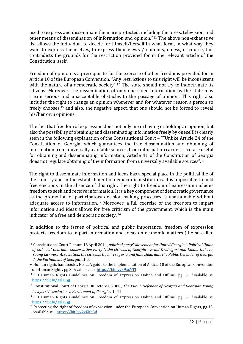used to express and disseminate them are protected, including the press, television, and other means of dissemination of information and opinion."<sup>11</sup> The above non-exhaustive list allows the individual to decide for himself/herself in what form, in what way they want to express themselves, to express their views / opinions, unless, of course, this contradicts the grounds for the restriction provided for in the relevant article of the Constitution itself.

Freedom of opinion is a prerequisite for the exercise of other freedoms provided for in Article 10 of the European Convention. "Any restrictions to this right will be inconsistent with the nature of a democratic society".<sup>12</sup> The state should not try to indoctrinate its citizens. Moreover, the dissemination of only one-sided information by the state may create serious and unacceptable obstacles to the passage of opinion. This right also includes the right to change an opinion whenever and for whatever reason a person so freely chooses,<sup>13</sup> and also, the negative aspect, that one should not be forced to reveal his/her own opinions.

The fact that freedom of expression does not only mean having or holding an opinion, but also the possibility of obtaining and disseminating information freely by oneself, is clearly seen in the following explanation of the Constitutional Court – ""Unlike Article 24 of the Constitution of Georgia, which guarantees the free dissemination and obtaining of information from universally available sources, from information carriers that are useful for obtaining and disseminating information, Article 41 of the Constitution of Georgia does not regulate obtaining of the information from universally available sources".<sup>14</sup>

The right to disseminate information and ideas has a special place in the political life of the country and in the establishment of democratic institutions. It is impossible to hold free elections in the absence of this right. The right to freedom of expression includes freedom to seek and receive information. It is a key component of democratic governance as the promotion of participatory decision-making processes is unattainable without adequate access to information.<sup>15</sup> Moreover, a full exercise of the freedom to impart information and ideas allows for free criticism of the government, which is the main indicator of a free and democratic society. <sup>16</sup>

In addition to the issues of political and public importance, freedom of expression protects freedom to impart information and ideas on economic matters (the so-called

<sup>11</sup> Constitutional Court Plenum 18 April 2011, *political party" Movement for United Georgia ", Political Union of Citizens" Georgian Conservative Party ", the citizens of Georgia - Zviad Dzidziguri and Kakha Kukava, Young Lawyers' Association, the citizens: Dachi Tsaguria and Jaba shkariani, the Public Defender of Georgia V. the Parliament of Georgia*. II-3.

<sup>&</sup>lt;sup>12</sup> Human rights handbooks, No. 2. A guide to the implementation of Article 10 of the European Convention on Human Rights. pg 8. Available at: <https://bit.ly/39xsVTI>

<sup>&</sup>lt;sup>13</sup> EU Human Rights Guidelines on Freedom of Expression Online and Offline. pg. 3. Available at: <https://bit.ly/3elX1gJ>

<sup>14</sup> Constitutional Court of Georgia 30 October, 2008, *The Public Defender of Georgia and Georgian Young Lawyers' Association v. Parliament of Georgia*. II-11

<sup>&</sup>lt;sup>15</sup> EU Human Rights Guidelines on Freedom of Expression Online and Offline. pg. 3. Available at: <https://bit.ly/3elX1gJ>

<sup>16</sup> Protecting the right of freedom of expression under the European Convention on Human Rights, pg.13. Available at: <https://bit.ly/2xXKe3d>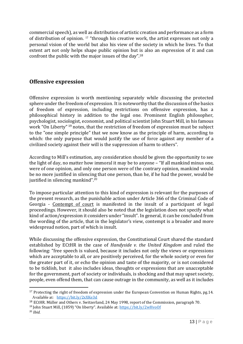commercial speech), as well as distribution of artistic creation and performance as a form of distribution of opinion. <sup>17</sup> "through his creative work, the artist expresses not only a personal vision of the world but also his view of the society in which he lives. To that extent art not only helps shape public opinion but is also an expression of it and can confront the public with the major issues of the day".<sup>18</sup>

#### <span id="page-12-0"></span>**Offensive expression**

Offensive expression is worth mentioning separately while discussing the protected sphere under the freedom of expression. It is noteworthy that the discussion of the basics of freedom of expression, including restrictions on offensive expression, has a philosophical history in addition to the legal one. Prominent English philosopher, psychologist, sociologist, economist, and political scientist John Stuart Mill, in his famous work "On Liberty" <sup>19</sup> notes, that the restriction of freedom of expression must be subject to the "one simple principle" that we now know as the principle of harm, according to which: the only purpose that would justify the use of force against any member of a civilized society against their will is the suppression of harm to others".

According to Mill's estimation, any consideration should be given the opportunity to see the light of day, no matter how immoral it may be to anyone – "If all mankind minus one, were of one opinion, and only one person were of the contrary opinion, mankind would be no more justified in silencing that one person, than he, if he had the power, would be justified in silencing mankind".<sup>20</sup>

To impose particular attention to this kind of expression is relevant for the purposes of the present research, as the punishable action under Article 366 of the Criminal Code of Georgia - Contempt of court is manifested in the insult of a participant of legal proceedings. However, it should also be noted that the legislation does not specify what kind of action/expression it considers under "insult". In general, it can be concluded from the wording of the article, that in the legislator's view, contempt is a broader and more widespread notion, part of which is insult.

While discussing the offensive expression, the Constitutional Court shared the standard established by ECtHR in the case of *Handyside v. the United Kingdom* and ruled the following: "free speech is valued, because it includes not only the views or expressions which are acceptable to all, or are positively perceived, for the whole society or even for the greater part of it, or echo the opinion and taste of the majority, or is not considered to be ticklish, but it also includes ideas, thoughts or expressions that are unacceptable for the government, part of society or individuals, is shocking and that may upset society, people, even offend them, that can cause outrage in the community, as well as it includes

<sup>&</sup>lt;sup>17</sup> Protecting the right of freedom of expression under the European Convention on Human Rights, pg.14. Available at: <https://bit.ly/2xXKe3d>

<sup>18</sup> ECtHR. Müller and Others v. Switzerland, 24 May 1998, report of the Commission, paragraph 70.

<sup>19</sup> John Stuart Mill, (1859) "On liberty". Available at: <https://bit.ly/2wHvoOf>

<sup>20</sup> *Ibid.*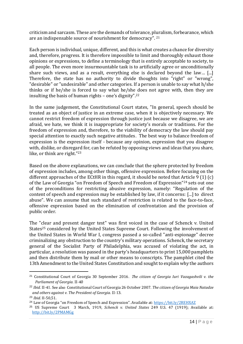criticism and sarcasm. These are the demands of tolerance, pluralism, forbearance, which are an indispensable source of nourishment for democracy". 21

Each person is individual, unique, different, and this is what creates a chance for diversity and, therefore, progress. It is therefore impossible to limit and thoroughly exhaust those opinions or expressions, to define a terminology that is entirely acceptable to society, to all people. The even more insurmountable task is to artificially agree or unconditionally share such views, and as a result, everything else is declared beyond the law… [...] Therefore, the state has no authority to divide thoughts into "right" or "wrong", "desirable" or "undesirable" and other categories. If a person is unable to say what h/she thinks or if he/she is forced to say what he/she does not agree with, then they are insulting the basis of human rights – one's dignity".<sup>22</sup>

In the same judgement, the Constitutional Court states, "In general, speech should be treated as an object of justice in an extreme case, when it is objectively necessary. We cannot restrict freedom of expression through justice just because we disagree, we are afraid, we hate, we think it is inappropriate for society's morals or traditions. For the freedom of expression and, therefore, to the viability of democracy the law should pay special attention to exactly such negative attitudes. The best way to balance freedom of expression is the expression itself - because any opinion, expression that you disagree with, dislike, or disregard for, can be refuted by opposing views and ideas that you share, like, or think are right."<sup>23</sup>

Based on the above explanations, we can conclude that the sphere protected by freedom of expression includes, among other things, offensive expression. Before focusing on the different approaches of the ECtHR in this regard, it should be noted that Article 9 (1) (c) of the Law of Georgia "on Freedom of Speech and Freedom of Expression"<sup>24</sup> sets out one of the preconditions for restricting abusive expression, namely: "Regulation of the content of speech and expression may be established by law, if it concerns: [...] to direct abuse". We can assume that such standard of restriction is related to the face-to-face, offensive expression based on the elimination of confrontation and the provision of public order.

The "clear and present danger test" was first voiced in the case of Schenck v. United States<sup>25</sup> considered by the United States Supreme Court. Following the involvement of the United States in World War I, congress passed a so-called "anti-espionage" decree criminalizing any obstruction to the country's military operations. Schenck, the secretary general of the Socialist Party of Philadelphia, was accused of violating the act, in particular, a resolution was passed in the party's headquarters to print 15,000 pamphlets and then distribute them by mail or other means to conscripts. The pamphlet cited the 13th Amendment to the United States Constitution and sought to explain why the authors

<sup>21</sup> Constitutional Court of Georgia 30 September 2016. T*he citizen of Georgia Iuri Vazagashvili v. the Parliament of Georgia.* II-40

<sup>22</sup> *Ibid.* II-41. See also Constitutional Court of Georgia 26 October 2007*. The citizen of Georgia Maia Natadze and others against v. The President of Georgia.* II-13.

<sup>23</sup> *Ibid.* II-50,51.

<sup>24</sup> Law of Georgia "on Freedom of Speech and Expression". Available at: <https://bit.ly/2REHXAZ>

<sup>25</sup> US Supreme Court 3 March, 1919, *Schenck v. United States* 249 U.S. 47 (1919); Available at: <http://bit.ly/2PMAMGg>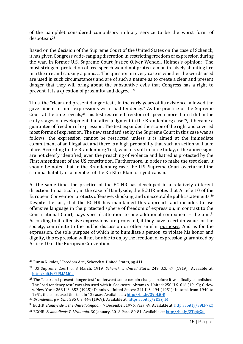of the pamphlet considered compulsory military service to be the worst form of despotism.<sup>26</sup>

Based on the decision of the Supreme Court of the United States on the case of Schenck, it has given Congress wide-ranging discretion in restricting freedom of expression during the war. In former U.S. Supreme Court Justice Oliver Wendell Holmes's opinion: "The most stringent protection of free speech would not protect a man in falsely shouting fire in a theatre and causing a panic. ... The question in every case is whether the words used are used in such circumstances and are of such a nature as to create a clear and present danger that they will bring about the substantive evils that Congress has a right to prevent. It is a question of proximity and degree".<sup>27</sup>

Thus, the "clear and present danger test", in the early years of its existence, allowed the government to limit expressions with "bad tendency." As the practice of the Supreme Court at the time reveals,<sup>28</sup> this test restricted freedom of speech more than it did in the early stages of development, but after judgment in the Brandenburg case<sup>29</sup>, it became a guarantee of freedom of expression. The test expanded the scope of the right and covered most forms of expression. The new standard set by the Supreme Court in this case was as follows: the expression cannot be restricted unless it is aimed at the immediate commitment of an illegal act and there is a high probability that such an action will take place. According to the Brandenburg Test, which is still in force today, if the above signs are not clearly identified, even the preaching of violence and hatred is protected by the First Amendment of the US constitution. Furthermore, in order to make the test clear, it should be noted that in the Brandenburg case, the U.S. Supreme Court overturned the criminal liability of a member of the Ku Klux Klan for syndicalism.

At the same time, the practice of the ECtHR has developed in a relatively different direction. In particular, in the case of Handyside, the ECtHR notes that Article 10 of the European Convention protects offensive, shocking, and unacceptable public statements.<sup>30</sup> Despite the fact, that the ECtHR has maintained this approach and includes to use offensive language in the protected sphere of freedom of expression, in contrast to the Constitutional Court, pays special attention to one additional component – the aim.<sup>31</sup> According to it, offensive expressions are protected, if they have a certain value for the society, contribute to the public discussion or other similar purposes. And as for the expression, the sole purpose of which is to humiliate a person, to violate his honor and dignity, this expression will not be able to enjoy the freedom of expression guaranteed by Article 10 of the European Convention.

<sup>26</sup> Rurua Nikoloz, "Freedom Act", Schenck v. United States, pg.411.

<sup>27</sup> US Supreme Court of 3 March, 1919, *Schenck v. United States* 249 U.S. 47 (1919); Available at: <http://bit.ly/2PMAMGg>

<sup>&</sup>lt;sup>28</sup> The "clear and present danger test" underwent some certain changes before it was finally established. The "bad tendency test" was also used with it. See cases: Abrams v. United: 250 U.S. 616 (1919); Gitlow v. New York: 268 U.S. 652 (1925); Dennis v. United States: 341 U.S. 494 (1951); In total, from 1940 to 1951, the court used this test in 12 cases. Available at:<http://bit.ly/39bLiOR>

<sup>29</sup> *Brandenburg v. Ohio* 395 U.S. 444 (1969); Available at:<https://bit.ly/2K3zjrM>

<sup>30</sup> ECtHR. *Handyside v. the United Kingdom*, 7 December, 1976. Para. 49. Available at: <http://bit.ly/39kP7kQ>

<sup>31</sup> ECtHR. *Sekmadienis V. Lithuania*. 30 January, 2018 Para. 80-81. Available at: <http://bit.ly/2Tg6gXu>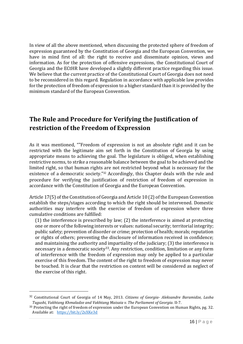In view of all the above mentioned, when discussing the protected sphere of freedom of expression guaranteed by the Constitution of Georgia and the European Convention, we have in mind first of all: the right to receive and disseminate opinion, views and information. As for the protection of offensive expressions, the Constitutional Court of Georgia and the ECtHR have developed a slightly different practice regarding this issue. We believe that the current practice of the Constitutional Court of Georgia does not need to be reconsidered in this regard. Regulation in accordance with applicable law provides for the protection of freedom of expression to a higher standard than it is provided by the minimum standard of the European Convention.

## <span id="page-15-0"></span>**The Rule and Procedure for Verifying the Justification of restriction of the Freedom of Expression**

As it was mentioned, ""Freedom of expression is not an absolute right and it can be restricted with the legitimate aim set forth in the Constitution of Georgia by using appropriate means to achieving the goal. The legislature is obliged, when establishing restrictive norms, to strike a reasonable balance between the goal to be achieved and the limited right, so that human rights are not restricted beyond what is necessary for the existence of a democratic society."<sup>32</sup> Accordingly, this Chapter deals with the rule and procedure for verifying the justification of restriction of freedom of expression in accordance with the Constitution of Georgia and the European Convention.

Article 17(5) of the Constitution of Georgia and Article 10 (2) of the European Convention establish the steps/stages according to which the right should be intervened. Domestic authorities may interfere with the exercise of freedom of expression where three cumulative conditions are fulfilled:

(1) the interference is prescribed by law; (2) the interference is aimed at protecting one or more of the following interests or values: national security; territorial integrity; public safety; prevention of disorder or crime; protection of health; morals; reputation or rights of others; preventing the disclosure of information received in confidence; and maintaining the authority and impartiality of the judiciary; (3) the interference is necessary in a democratic society<sup>33</sup>. Any restriction, condition, limitation or any form of interference with the freedom of expression may only be applied to a particular exercise of this freedom. The content of the right to freedom of expression may never be touched. It is clear that the restriction on content will be considered as neglect of the exercise of this right.

<sup>32</sup> Constitutional Court of Georgia of 14 May, 2013. *Citizens of Georgia- Aleksandre Baramidze, Lasha Tugushi, Vakhtang Khmaladze and Vakhtang Maisaia v. The Parliament of Georgia*. II-7.

<sup>&</sup>lt;sup>33</sup> Protecting the right of freedom of expression under the European Convention on Human Rights, pg. 32. Available at: <https://bit.ly/2xXKe3d>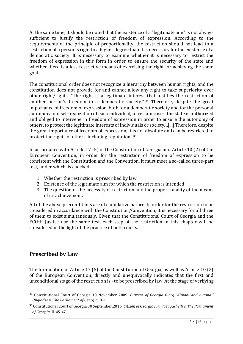At the same time, it should be noted that the existence of a "legitimate aim" is not always sufficient to justify the restriction of freedom of expression. According to the requirements of the principle of proportionality, the restriction should not lead to a restriction of a person's right to a higher degree than it is necessary for the existence of a democratic society. It is necessary to examine whether it is necessary to restrict the freedom of expression in this form in order to ensure the security of the state and whether there is a less restrictive means of exercising the right for achieving the same goal.

The constitutional order does not recognize a hierarchy between human rights, and the constitution does not provide for and cannot allow any right to take superiority over other right/rights. "The right is a legitimate interest that justifies the restriction of another person's freedom in a democratic society." <sup>34</sup> Therefore, despite the great importance of freedom of expression, both for a democratic society and for the personal autonomy and self-realization of each individual, in certain cases, the state is authorized and obliged to intervene in freedom of expression in order to ensure the autonomy of others, to protect the legitimate interests of individuals or society. "[...] Therefore, despite the great importance of freedom of expression, it is not absolute and can be restricted to protect the rights of others, including reputation".<sup>35</sup>

In accordance with Article 17 (5) of the Constitution of Georgia and Article 10 (2) of the European Convention, in order for the restriction of freedom of expression to be consistent with the Constitution and the Convention, it must meet a so-called three-part test, under which, is checked:

- 1. Whether the restriction is prescribed by law;
- 2. Existence of the legitimate aim for which the restriction is intended;
- 3. The question of the necessity of restriction and the proportionality of the means of its achievement.

All of the above preconditions are of cumulative nature. In order for the restriction to be considered in accordance with the Constitution/Convention, it is necessary for all three of them to exist simultaneously. Given that the Constitutional Court of Georgia and the ECtHR Justice use the same test, each step of the restriction in this chapter will be considered in the light of the practice of both courts.

### <span id="page-16-0"></span>**Prescribed by Law**

The formulation of Article 17 (5) of the Constitution of Georgia, as well as Article 10 (2) of the European Convention, directly and unequivocally indicates that the first and unconditional stage of the restriction is - to be prescribed by law. At the stage of verifying

<sup>34</sup> Constitutional Court of Georgia 10 November 2009. *Citizens of Georgia Giorgi Kipiani and Avtandil Ungiadze v. The Parliament of Georgia*. II-1.

<sup>35</sup> Constitutional Court of Georgia 30 September,2016. *Citizen of Georgia Iuri Vazagashvili v. The Parliament of Georgia.* II-45-47.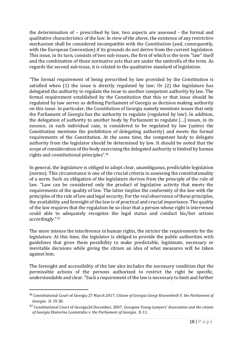the determination of – prescribed by law, two aspects are assessed - the formal and qualitative characteristics of the law. In view of the above, the existence of any restrictive mechanism shall be considered incompatible with the Constitution (and, consequently, with the European Convention) if its grounds do not derive from the current legislation. This issue, in its turn, consists of two sub-issues, the first of which is the term "law" itself and the combination of those normative acts that are under the umbrella of the term. As regards the second sub-issue, it is related to the qualitative standard of legislation.

"The formal requirement of being prescribed by law provided by the Constitution is satisfied when (1) the issue is directly regulated by law; Or (2) the legislature has delegated the authority to regulate the issue to another competent authority by law. The formal requirement established by the Constitution that this or that issue should be regulated by law serves as defining Parliament of Georgia as decision making authority on this issue. In particular, the Constitution of Georgia namely mentions issues that only the Parliament of Georgia has the authority to regulate (regulated by law). In addition, the delegation of authority to another body by Parliament to regulate […] issues, in its essence, in each individual case, is considered to be regulated by law (unless the Constitution mentions the prohibition of delegating authority) and meets the formal requirements of the Constitution. At the same time, the competent body to delegate authority from the legislator should be determined by law. It should be noted that the scope of consideration of the body exercising the delegated authority is limited by human rights and constitutional principles".<sup>36</sup>

In general, the legislature is obliged to adopt clear, unambiguous, predictable legislation (norms). This circumstance is one of the crucial criteria in assessing the constitutionality of a norm. Such an obligation of the legislature derives from the principle of the rule of law. "Law can be considered only the product of legislative activity that meets the requirements of the quality of law. The latter implies the conformity of the law with the principles of the rule of law and legal security. For the real observance of these principles, the availability and foresight of the law is of practical and crucial importance. The quality of the law requires that the regulation be so clear that a person whose right is intervened could able to adequately recognize the legal status and conduct his/her actions accordingly." 37

The more intense the interference in human rights, the stricter the requirements for the legislature. At this time, the legislator is obliged to provide the public authorities with guidelines that gives them possibility to make predictable, legitimate, necessary or inevitable decisions while giving the citizen an idea of what measures will be taken against him.

The foresight and accessibility of the law also includes the necessary condition that the permissible actions of the persons authorized to restrict the right be specific, understandable and clear."Such a requirement of the law is necessary to limit and further

<sup>36</sup> Constitutional Court of Georgia 27 March 2017*. Citizen of Georgia Giorgi Kraveishvili V. the Parliament of Georgia*. II-19-20.

<sup>37</sup> Constitutional Court of Georgia26 December, 2007, *Georgian Young Lawyers' Association and the citizen of Georgia Ekaterine Lomtatidze v. the Parliament of Georgia*. II-11.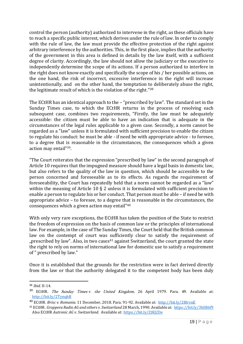control the person (authority) authorized to intervene in the right, as these officials have to reach a specific public interest, which derives under the rule of law. In order to comply with the rule of law, the law must provide the effective protection of the right against arbitrary interference by the authorities. This, in the first place, implies that the authority of the government in this area is defined in details by the law itself, with a sufficient degree of clarity. Accordingly, the law should not allow the judiciary or the executive to independently determine the scope of its actions. If a person authorized to interfere in the right does not know exactly and specifically the scope of his / her possible actions, on the one hand, the risk of incorrect, excessive interference in the right will increase unintentionally, and on the other hand, the temptation to deliberately abuse the right, the legitimate result of which is the violation of the right." 38

The ECtHR has an identical approach to the – "prescribed by law". The standard set in the Sunday Times case, to which the ECtHR returns in the process of resolving each subsequent case, combines two requirements, "Firstly, the law must be adequately accessible: the citizen must be able to have an indication that is adequate in the circumstances of the legal rules applicable to a given case. Secondly, a norm cannot be regarded as a "law" unless it is formulated with sufficient precision to enable the citizen to regulate his conduct: he must be able - if need be with appropriate advice - to foresee, to a degree that is reasonable in the circumstances, the consequences which a given action may entail"39.

"The Court reiterates that the expression "prescribed by law" in the second paragraph of Article 10 requires that the impugned measure should have a legal basis in domestic law, but also refers to the quality of the law in question, which should be accessible to the person concerned and foreseeable as to its effects. As regards the requirement of foreseeability, the Court has repeatedly held that a norm cannot be regarded as a "law" within the meaning of Article 10 § 2 unless it is formulated with sufficient precision to enable a person to regulate his or her conduct. That person must be able – if need be with appropriate advice – to foresee, to a degree that is reasonable in the circumstances, the consequences which a given action may entail"<sup>40</sup>

With only very rare exceptions, the ECtHR has taken the position of the State to restrict the freedom of expression on the basis of common law or the principles of international law. For example, in the case of The Sunday Times, the Court held that the British common law on the contempt of court was sufficiently clear to satisfy the requirement of ", prescribed by law". Also, in two cases<sup>41</sup> against Switzerland, the court granted the state the right to rely on norms of international law for domestic use to satisfy a requirement of " prescribed by law."

Once it is established that the grounds for the restriction were in fact derived directly from the law or that the authority delegated it to the competent body has been duly

<sup>38</sup> *Ibid.* II-14.

<sup>&</sup>lt;sup>39</sup> ECtHR. *The Sunday Times v. the United Kingdom*, 26 April 1979. Para. 49. Available at: <http://bit.ly/2TynqhB>

<sup>40</sup> ECtHR. *Brisc v. Romania*. 11 December, 2018. Para. 91-92. Available at:<http://bit.ly/2I8rvnE>

<sup>41</sup> ECtHR. *Groppera Radio AG and others v. Switzerland* 28 March, 1990. Available at:<https://bit.ly/3bSB6f9> Also ECtHR *Autronic AG v. Switzerland.* Available at: <https://bit.ly/2JKJ2De>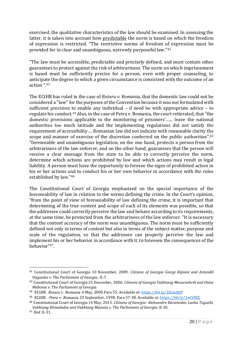exercised, the qualitative characteristics of the law should be examined. In assessing the latter, it is taken into account how predictable the norm is based on which the freedom of expression is restricted. "The restrictive norms of freedom of expression must be provided for in clear and unambiguous, narrowly purposeful law."<sup>42</sup>

"The law must be accessible, predictable and precisely defined, and must contain other guarantees to protect against the risk of arbitrariness. The norm on which imprisonment is based must be sufficiently precise for a person, even with proper counseling, to anticipate the degree to which a given circumstance is consistent with the outcome of an action ".<sup>43</sup>

The ECtHR has ruled in the case of *Rotaru v. Romania*, that the domestic law could not be considered a "law" for the purposes of the Convention because it was not formulated with sufficient precision to enable any individual – if need be with appropriate advice – to regulate his conduct.<sup>44</sup> Also, in the case of Petra v. Romania, the court reiterated, that "the domestic provisions applicable to the monitoring of prisoners'…... leave the national authorities too much latitude and the implementing regulations did not satisfy the requirement of accessibility…. Romanian law did not indicate with reasonable clarity the scope and manner of exercise of the discretion conferred on the public authorities".<sup>45</sup> "foreseeable and unambiguous legislation, on the one hand, protects a person from the arbitrariness of the law enforcer, and on the other hand, guarantees that the person will receive a clear message from the state to be able to correctly perceive the norm, determine which actions are prohibited by law and which actions may result in legal liability. A person must have the opportunity to foresee the signs of prohibited action in his or her actions and to conduct his or her own behavior in accordance with the rules established by law."<sup>46</sup>

The Constitutional Court of Georgia emphasized on the special importance of the foreseeability of law in relation to the norms defining the crime. In the Court's opinion, "from the point of view of foreseeability of law defining the crime, it is important that determining of the true content and scope of each of its elements was possible, so that the addressee could correctly perceive the law and behave according to its requirements, at the same time, be protected from the arbitrariness of the law enforcer. "It is necessary that the content accuracy of the norm was unambiguous. The norm must be sufficiently defined not only in terms of content but also in terms of the subject matter, purpose and scale of the regulation, so that the addressee can properly perceive the law and implement his or her behavior in accordance with it, to foreseen the consequences of the behavior" 47.

<sup>42</sup> Constitutional Court of Georgia 10 November, 2009. *Citizens of Georgia Giorgi Kipiani and Avtandil Ungiadze v. The Parliament of Georgia*, II-7.

<sup>43</sup> Constitutional Court of Georgia 25 December, 2006. *Citizens of Georgia Vakhtang Masurashvili and Onise Mebonia v. The Parliament of Georgia*.

<sup>&</sup>lt;sup>44</sup> ECtHR. *Rotaru v. Romania*. 4 May, 2000.Para 55. Available at[: https://bit.ly/2JGmdQP](https://bit.ly/2JGmdQP)

<sup>45</sup> ECtHR. Petra v. Romania. 23 September, 1998. Para 37-38. Available at[: https://bit.ly/2wiVBlX](https://bit.ly/2wiVBlX)

<sup>46</sup> Constitutional Court of Georgia 14 May, 2013. *Citizens of Georgia- Aleksandre Baramidze, Lasha Tugushi, Vakhtang Khmaladze and Vakhtang Maisaia v. The Parliament of Georgia*. II-30.

<sup>47</sup> *Ibid*. II-31.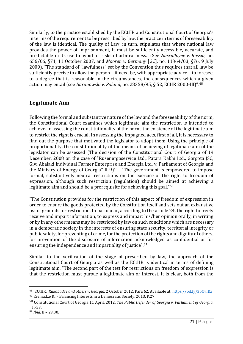Similarly, to the practice established by the ECtHR and Constitutional Court of Georgia's in terms of the requirement to be prescribed by law, the practice in terms of foreseeability of the law is identical. The quality of Law, in turn, stipulates that where national law provides the power of imprisonment, it must be sufficiently accessible, accurate, and predictable in its use to avoid all risks of arbitrariness. (See *Nasrulloyev v. Russia*, no. 656/06, §71, 11 October 2007, and *Mooren v. Germany* [GC], no. 11364/03, §76, 9 July 2009). "The standard of "lawfulness" set by the Convention thus requires that all law be sufficiently precise to allow the person – if need be, with appropriate advice – to foresee, to a degree that is reasonable in the circumstances, the consequences which a given action may entail (see *Baranowski v. Poland*, no. 28358/95, § 52, ECHR 2000-III)". 48

#### <span id="page-20-0"></span>**Legitimate Aim**

Following the formal and substantive nature of the law and the foreseeability of the norm, the Constitutional Court examines which legitimate aim the restriction is intended to achieve. In assessing the constitutionality of the norm, the existence of the legitimate aim to restrict the right is crucial. In assessing the impugned acts, first of all, it is necessary to find out the purpose that motivated the legislator to adopt them. Using the principle of proportionality, the constitutionality of the means of achieving of legitimate aim of the legislator can be assessed (The decision of the Constitutional Court of Georgia of 19 December, 2008 on the case of "Rusenergoservice Ltd., Patara Kakhi Ltd., Gorgota JSC, Givi Abalaki Individual Farmer Enterprise and Energia Ltd. v. Parliament of Georgia and the Ministry of Energy of Georgia" II-9) <sup>49</sup>. "The government is empowered to impose formal, substantively neutral restrictions on the exercise of the right to freedom of expression, although such restriction (regulation) should be aimed at achieving a legitimate aim and should be a prerequisite for achieving this goal."<sup>50</sup>

"The Constitution provides for the restriction of this aspect of freedom of expression in order to ensure the goods protected by the Constitution itself and sets out an exhaustive list of grounds for restriction. In particular, according to the article 24, the right to freely receive and impart information, to express and impart his/her opinion orally, in writing or by in any other means may be restricted by law on such conditions which are necessary in a democratic society in the interests of ensuring state security, territorial integrity or public safety, for preventing of crime, for the protection of the rights and dignity of others, for prevention of the disclosure of information acknowledged as confidential or for ensuring the independence and impartiality of justice".<sup>51</sup>

Similar to the verification of the stage of prescribed by law, the approach of the Constitutional Court of Georgia as well as the ECtHR is identical in terms of defining legitimate aim. "The second part of the test for restrictions on freedom of expression is that the restriction must pursue a legitimate aim or interest. It is clear, both from the

<sup>48</sup> ECtHR. *Kakabadze and others v. Georgia.* 2 October 2012. Para 62. Available at[: https://bit.ly/3bOvIKx](https://bit.ly/3bOvIKx)

<sup>49</sup> Eremadze K. - Balancing Interests in a Democratic Society, 2013. P.27

<sup>50</sup> Constitutional Court of Georgia 11 April, 2012. *The Public Defender of Georgia v. Parliament of Georgia.* II-53.

<sup>51</sup> *Ibid*. II – 29,30.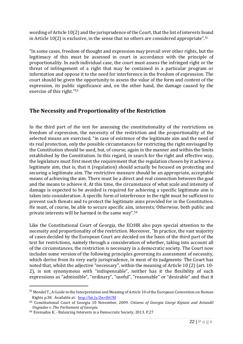wording of Article 10(2) and the jurisprudence of the Court, that the list of interests found in Article 10(2) is exclusive, in the sense that no others are considered appropriate".<sup>52</sup>

"In some cases, freedom of thought and expression may prevail over other rights, but the legitimacy of this must be assessed in court in accordance with the principle of proportionality. In each individual case, the court must assess the infringed right or the threat of infringement of a right that may be contained in a particular program or information and oppose it to the need for interference in the freedom of expression. The court should be given the opportunity to assess the value of the form and content of the expression, its public significance and, on the other hand, the damage caused by the exercise of this right."<sup>53</sup>

#### <span id="page-21-0"></span>**The Necessity and Proportionality of the Restriction**

In the third part of the test for assessing the constitutionality of the restrictions on freedom of expression, the necessity of the restriction and the proportionality of the selected means are exercised. "in case of existence of the legitimate aim and the need of its real protection, only the possible circumstances for restricting the right envisaged by the Constitution should be used, but, of course, again in the manner and within the limits established by the Constitution. In this regard, in search for the right and effective way, the legislature must first meet the requirement that the regulation chosen by it achieve a legitimate aim, that is, that it (regulation) should actually be focused on protecting and securing a legitimate aim. The restrictive measure should be an appropriate, acceptable means of achieving the aim. There must be a direct and real connection between the goal and the means to achieve it. At this time, the circumstance of what scale and intensity of damage is expected to be avoided is required for achieving a specific legitimate aim is taken into consideration. A specific form of interference in the right must be sufficient to prevent such threats and to protect the legitimate aims provided for in the Constitution. He must, of course, be able to secure specific aim, interests; Otherwise, both public and private interests will be harmed in the same way".<sup>54</sup>

Like the Constitutional Court of Georgia, the ECtHR also pays special attention to the necessity and proportionality of the restriction. Moreover, "In practice, the vast majority of cases decided by the European Court are decided on the basis of the third part of the test for restrictions, namely through a consideration of whether, taking into account all of the circumstances, the restriction is necessary in a democratic society. The Court now includes some version of the following principles governing its assessment of necessity, which derive from its very early jurisprudence, in most of its judgments: The Court has noted that, whilst the adjective "necessary", within the meaning of Article 10 (2) (art. 10- 2), is not synonymous with "indispensable", neither has it the flexibility of such expressions as "admissible", "ordinary", "useful", "reasonable" or "desirable" and that it

<sup>52</sup> Mendel T., A Guide to the Interpretation and Meaning of Article 10 of the European Convention on Human Rights p.38. Available at: <http://bit.ly/2wvlbUM>

<sup>53</sup> Constitutional Court of Georgia 10 November, 2009. *Citizens of Georgia Giorgi Kipiani and Avtandil Ungiadze v. The Parliament of Georgia.*

<sup>54</sup> Eremadze K. - Balancing Interests in a Democratic Society, 2013. P.27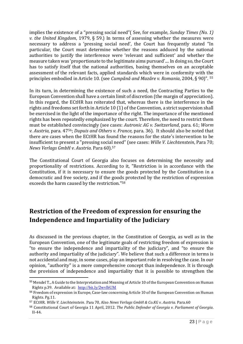implies the existence of a "pressing social need"( See, for example, *Sunday Times (No. 1) v. the United Kingdom*, 1979, § 59.) In terms of assessing whether the measures were necessary to address a 'pressing social need', the Court has frequently stated "In particular, the Court must determine whether the reasons adduced by the national authorities to justify the interference were 'relevant and sufficient' and whether the measure taken was 'proportionate to the legitimate aims pursued'.... In doing so, the Court has to satisfy itself that the national authorities, basing themselves on an acceptable assessment of the relevant facts, applied standards which were in conformity with the principles embodied in Article 10. (see *Cumpǎnǎ and Mazǎre v. Romania*, 2004, § 90)". <sup>55</sup>

In its turn, in determining the existence of such a need, the Contracting Parties to the European Convention shall have a certain limit of discretion (the margin of appreciation). In this regard, the ECtHR has reiterated that, whereas there is the interference in the rights and freedoms set forth in Article 10 (1) of the Convention, a strict supervision shall be exercised in the light of the importance of the right. The importance of the mentioned rights has been repeatedly emphasized by the court. Therefore, the need to restrict them must be established convincingly (see cases: *Autronic AG v. Switzerland*, para. 61; *Worm v. Austria*, para. 4756; *Dupuis and Others v. France,* para. 36). It should also be noted that there are cases when the ECtHR has found the reasons for the state's intervention to be insufficient to present a "pressing social need" (see cases: *Wille V. Liechtenstein*, Para 70; *News Verlags GmbH v. Austria*. Para 60).<sup>57</sup>

The Constitutional Court of Georgia also focuses on determining the necessity and proportionality of restrictions. According to it, "Restriction is in accordance with the Constitution, if it is necessary to ensure the goods protected by the Constitution in a democratic and free society, and if the goods protected by the restriction of expression exceeds the harm caused by the restriction."<sup>58</sup>

## <span id="page-22-0"></span>**Restriction of the Freedom of expression for ensuring the Independence and Impartiality of the Judiciary**

As discussed in the previous chapter, in the Constitution of Georgia, as well as in the European Convention, one of the legitimate goals of restricting freedom of expression is "to ensure the independence and impartiality of the judiciary", and "to ensure the authority and impartiality of the judiciary". We believe that such a difference in terms is not accidental and may, in some cases, play an important role in resolving the case. In our opinion, "authority" is a more comprehensive concept than independence. It is through the provision of independence and impartiality that it is possible to strengthen the

<sup>55</sup> Mendel T., A Guide to the Interpretation and Meaning of Article 10 of the European Convention on Human Rights p.39. Available at: <http://bit.ly/2wvlbUM>

<sup>56</sup> Freedom of expression in Europe, Case-law concerning Article 10 of the European Convention on Human Rights. Pg.11.

<sup>57</sup> ECtHR. *Wille V. Liechteinstein*. Para 70, Also *News Verlags GmbH & Co.KG v. Austria.* Para.60

<sup>58</sup> Constitutional Court of Georgia 11 April, 2012. *The Public Defender of Georgia v. Parliament of Georgia*. II-44.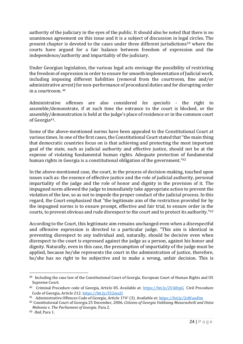authority of the judiciary in the eyes of the public. It should also be noted that there is no unanimous agreement on this issue and it is a subject of discussion in legal circles. The present chapter is devoted to the cases under three different jurisdictions<sup>59</sup> where the courts have argued for a fair balance between freedom of expression and the independence/authority and impartiality of the judiciary.

Under Georgian legislation, the various legal acts envisage the possibility of restricting the freedom of expression in order to ensure for smooth implementation of Judicial work, including imposing different liabilities (removal from the courtroom, fine and/or administrative arrest) for non-performance of procedural duties and for disrupting order in a courtroom. <sup>60</sup>

Administrative offenses are also considered *lex specialis* - the right to assemble/demonstrate, if at such time the entrance to the court is blocked, or the assembly/demonstration is held at the judge's place of residence or in the common court of Georgia61.

Some of the above-mentioned norms have been appealed to the Constitutional Court at various times. In one of the first cases, the Constitutional Court stated that "the main thing that democratic countries focus on is that achieving and protecting the most important goal of the state, such as judicial authority and effective justice, should not be at the expense of violating fundamental human rights. Adequate protection of fundamental human rights in Georgia is a constitutional obligation of the government."<sup>62</sup>

In the above-mentioned case, the court, in the process of decision-making, touched upon issues such as: the essence of effective justice and the role of judicial authority, personal impartiality of the judge and the role of honor and dignity in the provision of it. The impugned norm allowed the judge to immediately take appropriate action to prevent the violation of the law, so as not to impede the proper conduct of the judicial process. In this regard, the Court emphasized that "the legitimate aim of the restriction provided for by the impugned norms is to ensure prompt, effective and fair trial, to ensure order in the courts, to prevent obvious and rude disrespect to the court and to protect its authority."<sup>63</sup>

According to the Court, this legitimate aim remains unchanged even when a disrespectful and offensive expression is directed to a particular judge. "This aim is identical in preventing disrespect to any individual and, naturally, should be decisive even when disrespect to the court is expressed against the judge as a person, against his honor and dignity. Naturally, even in this case, the presumption of impartiality of the judge must be applied, because he/she represents the court in the administration of justice, therefore, he/she has no right to be subjective and to make a wrong, unfair decision. This is

<sup>59</sup> Including the case law of the Constitutional Court of Georgia, European Court of Human Rights and US Supreme Court.

<sup>&</sup>lt;sup>60</sup> Criminal Procedure code of Georgia, Article 85. Available at: <https://bit.ly/2VA8rpG> Civil Procedure Code of Georgia, Article 212. <https://bit.ly/352ms2I>

<sup>&</sup>lt;sup>61</sup> Administrative Offences Code of Georgia, Article 1741 (3). Available at: <u><https://bit.ly/2xWawDm></u>

<sup>62</sup> Constitutional Court of Georgia 25 December, 2006. *Citizens of Georgia Vakhtang Masurashvili and Onise Mebonia v. The Parliament of Georgia*. Para 2.

<sup>63</sup> *Ibid*, Para 1.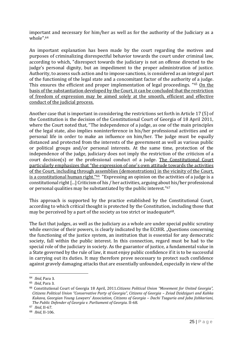important and necessary for him/her as well as for the authority of the Judiciary as a whole".<sup>64</sup>

An important explanation has been made by the court regarding the motives and purposes of criminalizing disrespectful behavior towards the court under criminal law, according to which, "disrespect towards the judiciary is not an offense directed to the judge's personal dignity, but an impediment to the proper administration of justice. Authority, to assess such action and to impose sanctions, is considered as an integral part of the functioning of the legal state and a concomitant factor of the authority of a judge. This ensures the efficient and proper implementation of legal proceedings. "65 On the basis of the substantiation developed by the Court, it can be concluded that the restriction of freedom of expression may be aimed solely at the smooth, efficient and effective conduct of the judicial process.

Another case that is important in considering the restrictions set forth in Article 17 (5) of the Constitution is the decision of the Constitutional Court of Georgia of 18 April 2011, where the Court noted that, "The independence of a judge, as one of the main principles of the legal state, also implies noninterference in his/her professional activities and or personal life in order to make an influence on him/her. The judge must be equally distanced and protected from the interests of the government as well as various public or political groups and/or personal interests. At the same time, protection of the independence of the judge, judiciary does not imply the restriction of the criticism of a court decision(s) or the professional conduct of a judge. The Constitutional Court particularly emphasizes that "the expression of one's own attitude towards the activities of the Court, including through assemblies (demonstrations) in the vicinity of the Court, is a constitutional human right."66 "Expressing an opinion on the activities of a judge is a constitutional right [...] Criticism of his / her activities, arguing about his/her professional or personal qualities may be substantiated by the public interest."<sup>67</sup>

This approach is supported by the practice established by the Constitutional Court, according to which critical thought is protected by the Constitution, including those that may be perceived by a part of the society as too strict or inadequate<sup>68</sup>.

The fact that judges, as well as the judiciary as a whole are under special public scrutiny while exercise of their powers, is clearly indicated by the ECtHR. "Questions concerning the functioning of the justice system, an institution that is essential for any democratic society, fall within the public interest. In this connection, regard must be had to the special role of the judiciary in society. As the guarantor of justice, a fundamental value in a State governed by the rule of law, it must enjoy public confidence if it is to be successful in carrying out its duties. It may therefore prove necessary to protect such confidence against gravely damaging attacks that are essentially unfounded, especially in view of the

<sup>64</sup> *Ibid*, Para 3.

<sup>65</sup> *Ibid*, Para 3.

<sup>66</sup> Constitutional Court of Georgia 18 April, 2011.*Citizens Political Union "Movement for United Georgia", Citizens Political Union "Conservative Party of Georgia", Citizens of Georgia – Zviad Dzidziguri and Kahka Kukava, Georgian Young Lawyers' Association, Citizens of Georgia – Dachi Tsaguria and Jaba Jishkariani, The Public Defender of Georgia v. Parliament of Georgia*. II-68.

<sup>67</sup> *Ibid*, II-67.

<sup>68</sup> *Ibid*, II-106.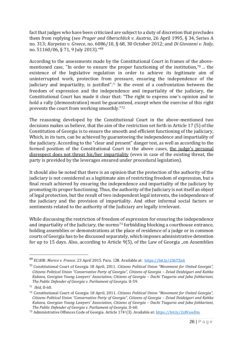fact that judges who have been criticized are subject to a duty of discretion that precludes them from replying (see *Prager and Oberschlick v. Austria*, 26 April 1995, § 34, Series A no. 313; *Karpetas v. Greece*, no. 6086/10, § 68, 30 October 2012; and *Di Giovanni v. Italy*, no. 51160/06, § 71, 9 July 2013)." 69

According to the assessments made by the Constitutional Court in frames of the abovementioned case, "In order to ensure the proper functioning of the institution,<sup>70</sup> ... the existence of the legislative regulation in order to achieve its legitimate aim of uninterrupted work, protection from pressure, ensuring the independence of the judiciary and impartiality, is justified". <sup>71</sup> In the event of a confrontation between the freedom of expression and the independence and impartiality of the judiciary, the Constitutional Court has made it clear that: "The right to express one's opinion and to hold a rally (demonstration) must be guaranteed, except when the exercise of this right prevents the court from working smoothly."<sup>72</sup>

The reasoning developed by the Constitutional Court in the above-mentioned two decisions makes us believe, that the aim of the restriction set forth in Article 17 (5) of the Constitution of Georgia is to ensure the smooth and efficient functioning of the judiciary, Which, in its turn, can be achieved by guaranteeing the independence and impartiality of the judiciary. According to the "clear and present" danger test, as well as according to the formed position of the Constitutional Court in the above cases, the judge's personal disrespect does not threat his/her impartiality (even in case of the existing threat, the party is provided by the leverages ensured under procedural legislation).

It should also be noted that there is an opinion that the protection of the authority of the judiciary is not considered as a legitimate aim of restricting freedom of expression, but a final result achieved by ensuring the independence and impartiality of the judiciary by promoting its proper functioning. Thus, the authority of the Judiciary is not itself an object of legal protection, but the result of two independent legal interests, the independence of the judiciary and the provision of impartiality. And other informal social factors or sentiments related to the authority of the Judiciary are legally irrelevant.

While discussing the restriction of freedom of expression for ensuring the independence and impartiality of the Judiciary, the norms<sup>73</sup> forbidding blocking a courthouse entrance, holding assemblies or demonstrations at the place of residence of a judge or in common courts of Georgia has to be discussed separately, which imposes administrative detention for up to 15 days. Also, according to Article  $9(5)$ , of the Law of Georgia "on Assemblies

<sup>69</sup> ECtHR: *Morice v. France*. 23 April 2015. Para. 128. Available at: <https://bit.ly/2S6TZn6>

<sup>70</sup> Constitutional Court of Georgia 18 April, 2011. *Citizens Political Union "Movement for United Georgia", Citizens Political Union "Conservative Party of Georgia", Citizens of Georgia – Zviad Dzidziguri and Kahka Kukava, Georgian Young Lawyers' Association, Citizens of Georgia – Dachi Tsaguria and Jaba Jishkariani, The Public Defender of Georgia v. Parliament of Georgia*. II-59.

<sup>71</sup> *Ibid*, II-60.

<sup>72</sup> Constitutional Court of Georgia 18 April, 2011. *Citizens Political Union "Movement for United Georgia", Citizens Political Union "Conservative Party of Georgia", Citizens of Georgia – Zviad Dzidziguri and Kahka Kukava, Georgian Young Lawyers' Association, Citizens of Georgia – Dachi Tsaguria and Jaba Jishkariani, The Public Defender of Georgia v. Parliament of Georgia*. II-60.

<sup>73</sup> Administrative Offences Code of Georgia. Article 1741(3). Available at[: https://bit.ly/2xWawDm](https://bit.ly/2xWawDm)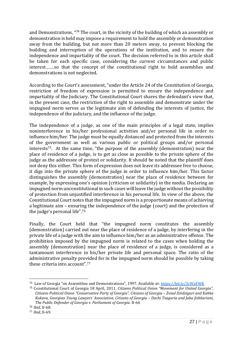and Demonstrations, " <sup>74</sup> The court, in the vicinity of the building of which an assembly or demonstration is held may impose a requirement to hold the assembly or demonstration away from the building, but not more than 20 meters away, to prevent blocking the building and interruption of the operations of the institution, and to ensure the independence and impartiality of the court. The decision referred to in this article shall be taken for each specific case, considering the current circumstances and public interest…….so that the concept of the constitutional right to hold assemblies and demonstrations is not neglected.

According to the Court's assessment, "under the Article 24 of the Constitution of Georgia, restriction of freedom of expression is permitted to ensure the independence and impartiality of the Judiciary. The Constitutional Court shares the defendant's view that, in the present case, the restriction of the right to assemble and demonstrate under the impugned norm serves as the legitimate aim of defending the interests of justice, the independence of the judiciary, and the influence of the judge.

The independence of a judge, as one of the main principles of a legal state, implies noninterference in his/her professional activities and/or personal life in order to influence him/her. The judge must be equally distanced and protected from the interests of the government as well as various public or political groups and/or personal interests75. At the same time, "the purpose of the assembly (demonstration) near the place of residence of a judge, is to get as close as possible to the private sphere of the judge as the addressee of protest or solidarity. It should be noted that the plaintiff does not deny this either. This form of expression does not leave its addressee free to choose, it digs into the private sphere of the judge in order to influence him/her. This factor distinguishes the assembly (demonstration) near the place of residence between for example, by expressing one's opinion (criticism or solidarity) in the media. Declaring an impugned norm unconstitutional in such cases will leave the judge without the possibility of protection from unjustified interference in his personal life. In view of the above, the Constitutional Court notes that the impugned norm is a proportionate means of achieving a legitimate aim – ensuring the independence of the judge (court) and the protection of the judge's personal life". 76

Finally, the Court held that "the impugned norm constitutes the assembly (demonstration) carried out near the place of residence of a judge, by interfering in the private life of a judge with the aim to influence him/her as an administrative offense. The prohibition imposed by the impugned norm is related to the cases when holding the assembly (demonstration) near the place of residence of a judge, is considered as a tantamount interference in his/her private life and personal space. The ratio of the administrative penalty provided for in the impugned norm should be possible by taking these criteria into account".<sup>77</sup>

<sup>74</sup> Law of Georgia "on Assemblies and Demonstrations", 1997. Available at: <https://bit.ly/3cWeFWK>

<sup>75</sup> Constitutional Court of Georgia 18 April, 2011. *Citizens Political Union "Movement for United Georgia", Citizens Political Union "Conservative Party of Georgia", Citizens of Georgia – Zviad Dzidziguri and Kahka Kukava, Georgian Young Lawyers' Association, Citizens of Georgia – Dachi Tsaguria and Jaba Jishkariani, The Public Defender of Georgia v. Parliament of Georgia*. II-66

<sup>76</sup> *Ibid*, II-68.

<sup>77</sup> *Ibid*, II-69.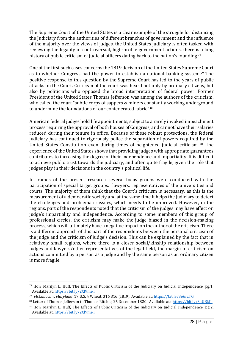The Supreme Court of the United States is a clear example of the struggle for distancing the Judiciary from the authorities of different branches of government and the influence of the majority over the views of judges. the United States judiciary is often tasked with reviewing the legality of controversial, high-profile government actions, there is a long history of public criticism of judicial officers dating back to the nation's founding.<sup>78</sup>

One of the first such cases concerns the 1819 decision of the United States Supreme Court as to whether Congress had the power to establish a national banking system.<sup>79</sup> The positive response to this question by the Supreme Court has led to the years of public attacks on the Court. Criticism of the court was heard not only by ordinary citizens, but also by politicians who opposed the broad interpretation of federal power. Former President of the United States Thomas Jefferson was among the authors of the criticism, who called the court "subtle corps of sappers & miners constantly working underground to undermine the foundations of our confederated fabric". 80

American federal judges hold life appointments, subject to a rarely invoked impeachment process requiring the approval of both houses of Congress, and cannot have their salaries reduced during their tenure in office. Because of these robust protections, the federal judiciary has continued to rigorously police the separation of powers required by the United States Constitution even during times of heightened judicial criticism. <sup>81</sup> The experience of the United States shows that providing judges with appropriate guarantees contributes to increasing the degree of their independence and impartiality. It is difficult to achieve public trust towards the judiciary, and often quite fragile, given the role that judges play in their decisions in the country's political life.

In frames of the present research several focus groups were conducted with the participation of special target groups: lawyers, representatives of the universities and courts. The majority of them think that the Court's criticism is necessary, as this is the measurement of a democratic society and at the same time it helps the Judiciary to detect the challenges and problematic issues, which needs to be improved. However, in the regions, part of the respondents noted that the criticism of the judges may have effect on judge's impartiality and independence. According to some members of this group of professional circles, the criticism may make the judge biased in the decision-making process, which will ultimately have a negative impact on the author of the criticism. There is a different approach of this part of the respondents between the personal criticism of the judge and the criticism of judge's decision. This can be explained by the fact that in relatively small regions, where there is a closer social/kinship relationship between judges and lawyers/other representatives of the legal field, the margin of criticism on actions committed by a person as a judge and by the same person as an ordinary citizen is more fragile.

<sup>78</sup> Hon. Marilyn L. Huff, The Effects of Public Criticism of the Judiciary on Judicial Independence, pg.1. Available at: <https://bit.ly/2Xl9meT>

<sup>79</sup> *McCulloch v. Maryland*, 17 U.S. 4 Wheat. 316 316 (1819). Available at: <https://bit.ly/3e6rzTG>

<sup>80</sup> Letter of Thomas Jefferson to Thomas Ritchie, 25 December 1820. Available at: https://bit.ly/3aUBkIL

<sup>81</sup> Hon. Marilyn L. Huff, The Effects of Public Criticism of the Judiciary on Judicial Independence, pg.2. Available at: <https://bit.ly/2Xl9meT>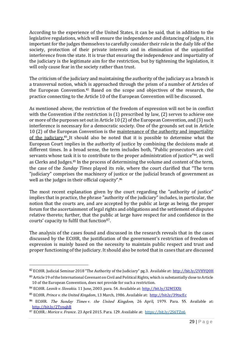According to the experience of the United States, it can be said, that in addition to the legislative regulations, which will ensure the independence and distancing of judges, it is important for the judges themselves to carefully consider their role in the daily life of the society, protection of their private interests and in elimination of the unjustified interference from the state. It is true that ensuring the independence and impartiality of the judiciary is the legitimate aim for the restriction, but by tightening the legislation, it will only cause fear in the society rather than trust.

The criticism of the judiciary and maintaining the authority of the judiciary as a branch is a transversal notion, which is approached through the prism of a number of Articles of the European Convention. <sup>82</sup> Based on the scope and objectives of the research, the practice connecting to the Article 10 of the European Convention will be discussed.

As mentioned above, the restriction of the freedom of expression will not be in conflict with the Convention if the restriction is (1) prescribed by law, (2) serves to achieve one or more of the purposes set out in Article 10 (2) of the European Convention, and (3) such interference is necessary for a democratic society. One of the grounds set out in Article 10 (2) of the European Convention is the maintenance of the authority and impartiality of the judiciary.<sup>83</sup> It should also be noted that it is possible to determine what the European Court implies in the authority of justice by combining the decisions made at different times. In a broad sense, the term includes both, "Public prosecutors are civil servants whose task it is to contribute to the proper administration of justice"<sup>84</sup>, as well as Clerks and Judges.<sup>85</sup> In the process of determining the volume and content of the term, the case of the *Sunday Times* played its role, where the court clarified that "The term "judiciary" comprises the machinery of justice or the judicial branch of government as well as the judges in their official capacity".<sup>86</sup>

The most recent explanation given by the court regarding the "authority of justice" implies that in practice, the phrase "authority of the judiciary" includes, in particular, the notion that the courts are, and are accepted by the public at large as being, the proper forum for the ascertainment of legal rights and obligations and the settlement of disputes relative thereto; further, that the public at large have respect for and confidence in the courts' capacity to fulfil that function87.

The analysis of the cases found and discussed in the research reveals that in the cases discussed by the ECtHR, the justification of the government's restriction of freedom of expression is mainly based on the necessity to maintain public respect and trust and proper functioning of the judiciary. It should also be noted that in cases that are discussed

<sup>82</sup> ECtHR. Judicial Seminar 2018 "The Authority of the Judiciary" pg.3. Available at: <http://bit.ly/2VHYQ0H>

<sup>&</sup>lt;sup>83</sup> Article 19 of the International Covenant on Civil and Political Rights, which is substantially close to Article 10 of the European Convention, does not provide for such a restriction.

<sup>84</sup> ECtHR. *Lesnik v. Slovakia.* 11 June, 2003. para. 54. Available at[: http://bit.ly/32M5XXt](http://bit.ly/32M5XXt)

<sup>85</sup> ECtHR. *Prince v. the United Kingdom*, 13 March, 1986. Available at: <http://bit.ly/39tscEc>

<sup>&</sup>lt;sup>86</sup> ECtHR. *The Sunday Times v. the United Kingdom*, 26 April, 1979. Para. 55. Available at: <http://bit.ly/2TynqhB>

<sup>87</sup> ECtHR.: *Morice v. France*. 23 April 2015. Para. 129. Available at: <https://bit.ly/2S6TZn6>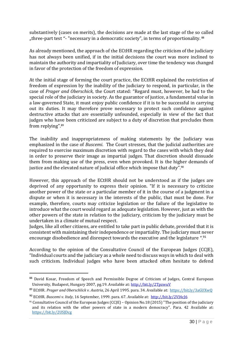substantively (cases on merits), the decisions are made at the last stage of the so called "three-part test "- "necessary in a democratic society", in terms of proportionality.<sup>88</sup>

As already mentioned, the approach of the ECtHR regarding the criticism of the judiciary has not always been unified, if in the initial decisions the court was more inclined to maintain the authority and impartiality of Judiciary, over time the tendency was changed in favor of the protection of the freedom of expression.

At the initial stage of forming the court practice, the ECtHR explained the restriction of freedom of expression by the inability of the judiciary to respond, in particular, in the case of *Prager and Oberschick*, the Court stated: "Regard must, however, be had to the special role of the judiciary in society. As the guarantor of justice, a fundamental value in a law-governed State, it must enjoy public confidence if it is to be successful in carrying out its duties. It may therefore prove necessary to protect such confidence against destructive attacks that are essentially unfounded, especially in view of the fact that judges who have been criticized are subject to a duty of discretion that precludes them from replying".<sup>89</sup>

The inability and inappropriateness of making statements by the Judiciary was emphasized in the case of *Buscemi*. The Court stresses, that the judicial authorities are required to exercise maximum discretion with regard to the cases with which they deal in order to preserve their image as impartial judges. That discretion should dissuade them from making use of the press, even when provoked. It is the higher demands of justice and the elevated nature of judicial office which impose that duty".<sup>90</sup>

However, this approach of the ECtHR should not be understood as if the judges are deprived of any opportunity to express their opinion. "If it is necessary to criticize another power of the state or a particular member of it in the course of a judgment in a dispute or when it is necessary in the interests of the public, that must be done. For example, therefore, courts may criticize legislation or the failure of the legislative to introduce what the court would regard as adequate legislation. However, just as with the other powers of the state in relation to the judiciary, criticism by the judiciary must be undertaken in a climate of mutual respect.

Judges, like all other citizens, are entitled to take part in public debate, provided that it is consistent with maintaining their independence or impartiality. The judiciary must never encourage disobedience and disrespect towards the executive and the legislature ". 91

According to the opinion of the Consultative Council of the European Judges (CCJE), "Individual courts and the judiciary as a whole need to discuss ways in which to deal with such criticism. Individual judges who have been attacked often hesitate to defend

<sup>88</sup> David Kosar, Freedom of Speech and Permissible Degree of Criticism of Judges, Central European University, Budapest, Hungary 2007, pg.19. Available at: <http://bit.ly/2TpzwuV>

<sup>89</sup> ECtHR. *Prager and Oberschlick v. Austria*, 26 April 1995. para. 34. Available at:<https://bit.ly/3aGUXwQ>

<sup>90</sup> ECtHR. *Buscemi v. Italy*, 16 September, 1999. para. 67. Available at:<http://bit.ly/2VJ4cJ6>

<sup>91</sup> Consultative Council of the European Judges (CCJE) – Opinion No.18 (2015) "The position of the judiciary and its relation with the other powers of state in a modern democracy". Para. 42 Available at: <https://bit.ly/2USJDcg>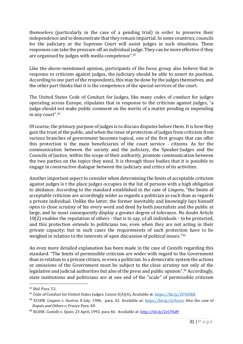themselves (particularly in the case of a pending trial) in order to preserve their independence and to demonstrate that they remain impartial. In some countries, councils for the judiciary or the Supreme Court will assist judges in such situations. These responses can take the pressure off an individual judge. They can be more effective if they are organised by judges with media competence".<sup>92</sup>

Like the above-mentioned opinion, participants of the focus group also believe that in response to criticism against judges, the judiciary should be able to assert its position. According to one part of the respondents, this may be done by the judges themselves, and the other part thinks that it is the competence of the special services of the court.

The United States Code of Conduct for Judges, like many codes of conduct for judges operating across Europe, stipulates that in response to the criticism against judges, "a judge should not make public comment on the merits of a matter pending or impending in any court". 93

Of course, the primary purpose of judges is to discuss disputes before them. It is how they gain the trust of the public, and when the issue of protection of judges from criticism from various branches of government becomes topical, one of the first groups that can offer this protection is the main beneficiaries of the court service - citizens. As for the communication between the society and the judiciary, the Speaker-Judges and the Councils of Justice, within the scope of their authority, promote communication between the two parties on the topics they need. It is through these bodies that it is possible to engage in constructive dialogue between the judiciary and critics of its activities.

Another important aspect to consider when determining the limits of acceptable criticism against judges is t the place judges occupies in the list of persons with a high obligation to abidance. According to the standard established in the case of *Lingens*, "the limits of acceptable criticism are accordingly wider as regards a politician as such than as regards a private individual. Unlike the latter, the former inevitably and knowingly lays himself open to close scrutiny of his every word and deed by both journalists and the public at large, and he must consequently display a greater degree of tolerance. No doubt Article 10(2) enables the reputation of others - that is to say, of all individuals - to be protected, and this protection extends to politicians too, even when they are not acting in their private capacity; but in such cases the requirements of such protection have to be weighed in relation to the interests of open discussion of political issues."<sup>94</sup>

An even more detailed explanation has been made in the case of *Castells* regarding this standard. "The limits of permissible criticism are wider with regard to the Government than in relation to a private citizen, or even a politician. In a democratic system the actions or omissions of the Government must be subject to the close scrutiny not only of the legislative and judicial authorities but also of the press and public opinion".<sup>95</sup> Accordingly, state institutions and politicians are at one end of the "scale" of permissible criticism

<sup>92</sup> *Ibid.* Para. 53.

<sup>93</sup> Code of Conduct for United States Judges. Canon 3(A)(6), Available at: <https://bit.ly/2V9tHRX>

<sup>94</sup> ECtHR. *Lingens v. Austria*, 8 July, 1986. para. 42. Available at:<https://bit.ly/2y9xnvr> Also the case of *Dupuis and Others v. France* Para. 40.

<sup>95</sup> ECtHR. *Castells v. Spain*. 23 April, 1992. para 46. Available at:<http://bit.ly/2vC9Sd9>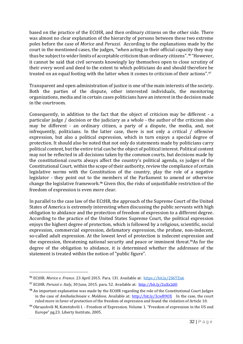based on the practice of the ECtHR, and then ordinary citizens on the other side. There was almost no clear explanation of the hierarchy of persons between these two extreme poles before the case of *Morice* and *Peruzzi.* According to the explanations made by the court in the mentioned cases, the judges, "when acting in their official capacity they may thus be subject to wider limits of acceptable criticism than ordinary citizens".%"However, it cannot be said that civil servants knowingly lay themselves open to close scrutiny of their every word and deed to the extent to which politicians do and should therefore be treated on an equal footing with the latter when it comes to criticism of their actions".<sup>97</sup>

Transparent and open administration of justice is one of the main interests of the society. Both the parties of the dispute, other interested individuals, the monitoring organizations, media and in certain cases politicians have an interest in the decision made in the courtroom.

Consequently, in addition to the fact that the object of criticism may be different - a particular judge / decision or the judiciary as a whole - the author of the criticism also may be different - an ordinary citizen, a party of a dispute, the media, and, not infrequently, politicians. In the latter case, there is not only a critical / offensive expression, but also a political expression, which in turn enjoys a special degree of protection. It should also be noted that not only do statements made by politicians carry political content, but the entire trial can be the object of political interest. Political content may not be reflected in all decisions taken by the common courts, but decisions made by the constitutional courts always affect the country's political agenda, ss judges of the Constitutional Court, within the scope of their authority, review the compliance of certain legislative norms with the Constitution of the country, play the role of a negative legislator - they point out to the members of the Parliament to amend or otherwise change the legislative framework.<sup>98</sup> Given this, the risks of unjustifiable restriction of the freedom of expression is even more clear.

In parallel to the case law of the ECtHR, the approach of the Supreme Court of the United States of America is extremely interesting when discussing the public servants with high obligation to abidance and the protection of freedom of expression to a different degree. According to the practice of the United States Supreme Court, the political expression enjoys the highest degree of protection, which is followed by a religious, scientific, social expression, commercial expression, defamatory expression, the profane, non-indecent, so-called adult expression. At the lowest level of protection is indecent expression and the expression, threatening national security and peace or imminent threat.<sup>99</sup>As for the degree of the obligation to abidance, it is determined whether the addressee of the statement is treated within the notion of "public figure".

<sup>96</sup> ECtHR. *Morice v. France*. 23 April 2015. Para. 131. Available at: <https://bit.ly/2S6TZn6>

<sup>97</sup> ECtHR. *Peruzzi v. Italy*, 30 June, 2015. para. 52. Available at: <http://bit.ly/2uXx2dO>

<sup>98</sup> An important explanation was made by the ECtHR regarding the role of the Constitutional Court Judges in the case of *Amihalachioaie v. Moldova*. Available at: http://bit.ly/3cwB90X In the case, the court ruled more in favor of protection of the freedom of expression and found the violation of Article 10.

<sup>99</sup> Okruashvili M, Kotetishvili I. - Freedom of Expression. Volume 1. "Freedom of expression in the US and Europe" pg.23. Liberty Institute, 2005.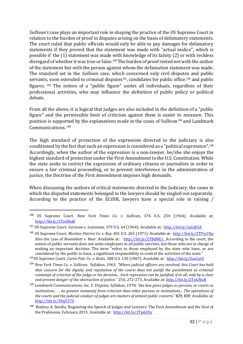*Sullivan's* case plays an important role in shaping the practice of the US Supreme Court in relation to the burden of proof in disputes arising on the basis of defamatory statements. The court ruled that public officials would only be able to pay damages for defamatory statements if they proved that the statement was made with "actual malice", which is possible if the (1) statement was made with knowledge of its falsity (2) or with reckless disregard of whether it was true or false.<sup>100</sup> The burden of proof rested not with the author of the statement but with the person against whom the defamation statement was made. The standard set in the *Sullivan* case, which concerned only civil disputes and public servants, soon extended to criminal disputes $^{\rm 101}$ , candidates for public office, $^{\rm 102}$  and public figures. <sup>103</sup> The notion of a "public figure" unites all individuals, regardless of their professional activities, who may influence the definition of public policy or political debate.

From all the above, it is logical that judges are also included in the definition of a "public figure" and the permissible limit of criticism against them is easier to measure. This position is supported by the explanations made in the cases of Sullivan<sup>104</sup> and Landmark Communications.<sup>105</sup>

The high standard of protection of the expression directed to the judiciary is also conditioned by the fact that such an expression is considered as a "political expression", $^{\rm 106}$ Accordingly, when the author of the expression is a non-lawyer, he/she she enjoys the highest standard of protection under the First Amendment to the U.S. Constitution. While the state seeks to restrict the expression of ordinary citizens or journalists in order to ensure a fair criminal proceeding, or to prevent interference in the administration of justice, the Doctrine of the First Amendment imposes high demands.

When discussing the authors of critical statements directed to the Judiciary, the cases in which the disputed statements belonged to the lawyers should be singled out separately. According to the practice of the ECtHR, lawyers have a special role in raising /

<sup>100</sup> US Supreme Court. *New York Times Co. v. Sullivan*, 376 U.S. 254 (1964). Available at: <http://bit.ly/2ToGNuR>

<sup>101</sup> US Supreme Court. *Garisson v. Louisiana*, 379 U.S. 64 (1964). Available at: <http://bit.ly/3aluB3A>

<sup>102</sup> US Supreme Court. *Monitor Patriot Co. v. Roy,* 401 U.S. 265 (1971). Available at:<http://bit.ly/2TPw1Np> Also the case of *Rosenblatt v. Baer.* Available at: <http://bit.ly/2TBdMLt> According to the court, the notion of public servants does not unite employees in all public services, but those who are in charge of making an important decision. The term "refers to those employed by the state who have, or are considered by the public to have, a significant responsibility to control the activities of the state." <sup>103</sup>US Supreme Court. *Curtis Pub. Co. v. Butts*, 388 U.S. 130 (1967). Available at: <http://bit.ly/3asCzrU>

<sup>104</sup> *New York Times Co. v. Sullivan*. Syllabus, 1963. "*Where judicial officers are involved, this Court has held that concern for the dignity and reputation of the courts does not justify the punishment as criminal contempt of criticism of the judge or his decision... Such repression can be justified, if at all, only by a clear and present danger of the obstruction of justice."* 254, 272-273. Available at:<http://bit.ly/2ToGNuR>

<sup>105</sup> *Landmark Communications, Inc. V. Virginia,* Syllabus, 1978*. "the law gives judges as persons, or courts as institutions . . . no greater immunity from criticism than other persons or institutions... The operations of the courts and the judicial conduct of judges are matters of utmost public concern."* 829, 839. Available at: <http://bit.ly/39qV27S>

<sup>106</sup> Rodney A. Smolla, Regulating the Speech of Judges and Lawyers: The First Amendment and the Soul of the Profession, February 2015. Available at:<http://bit.ly/2Tp6USy>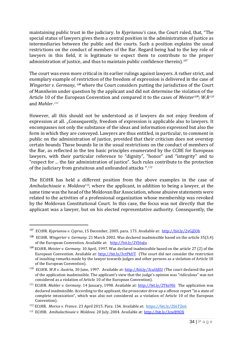maintaining public trust in the judiciary. In *Kyprianou's* case, the Court ruled, that, "The special status of lawyers gives them a central position in the administration of justice as intermediaries between the public and the courts. Such a position explains the usual restrictions on the conduct of members of the Bar. Regard being had to the key role of lawyers in this field, it is legitimate to expect them to contribute to the proper administration of justice, and thus to maintain public confidence therein).<sup>107</sup>

The court was even more critical in its earlier rulings against lawyers. A rather strict, and exemplary example of restriction of the freedom of expression is delivered in the case of Wingerter v. Germany, <sup>108</sup> where the Court considers putting the jurisdiction of the Court of Mannheim under question by the applicant and did not determine the violation of the Article 10 of the European Convention and compared it to the cases of *Meister<sup>109</sup>; W.R<sup>110</sup>* and *Mahler*. 111

However, all this should not be understood as if lawyers do not enjoy freedom of expression at all. "Consequently, freedom of expression is applicable also to lawyers. It encompasses not only the substance of the ideas and information expressed but also the form in which they are conveyed. Lawyers are thus entitled, in particular, to comment in public on the administration of justice, provided that their criticism does not overstep certain bounds Those bounds lie in the usual restrictions on the conduct of members of the Bar, as reflected in the ten basic principles enumerated by the CCBE for European lawyers, with their particular reference to "dignity", "honor" and "integrity" and to "respect for ... the fair administration of justice". Such rules contribute to the protection of the judiciary from gratuitous and unfounded attacks ".<sup>112</sup>

The ECtHR has held a different position from the above examples in the case of *Amihalachioaie v. Moldova*113, where the applicant, in addition to being a lawyer, at the same time was the head of the Moldovan Bar Association, whose abusive statements were related to the activities of a professional organization whose membership was revoked by the Moldovan Constitutional Court. In this case, the focus was not directly that the applicant was a lawyer, but on his elected representative authority. Consequently, the

<sup>107</sup> ECtHR. *Kyprianou v. Cyprus*, 15 December, 2005. para. 173. Available at:<http://bit.ly/2vGjZOb>

<sup>108</sup> ECtHR. *Wingerter v. Germany.* 21 March 2002. Was declared inadmissible based on the article 35(3,4) of the European Convention. Available at: <http://bit.ly/2VJ6aJu>

<sup>109</sup> ECtHR. *Meister v. Germany.* 10 April, 1997. Was declared inadmissible based on the article 27 (2) of the European Convention. Available at:<http://bit.ly/3ctPkUT> (The court did not consider the restriction of insulting remarks made by the lawyer towards judges and other persons as a violation of Article 10 of the European Convention).

<sup>110</sup> ECtHR. *W.R v. Austria,* 30 June, 1997. Available at:<http://bit.ly/3cuUjEU> (The court declared the part of the application inadmissible. The applicant's view that the judge's opinion was "ridiculous" was not considered as a violation of Article 10 of the European Convention).

<sup>&</sup>lt;sup>111</sup> ECtHR. *Mahler v. Germany.* 14 January, 1998. Available at:<http://bit.ly/2Tkz9l6> The application was declared inadmissible. According to the applicant, the prosecutor drew up a offence report "in a state of complete intoxication", which was also not considered as a violation of Article 10 of the European Convention).

<sup>112</sup> ECtHR. *Morice v. France*. 23 April 2015. Para. 134. Available at: <https://bit.ly/2S6TZn6>

<sup>113</sup> ECtHR. *Amihalachioaie v. Moldova*. 20 July, 2004. Available at: <http://bit.ly/3cwB9OX>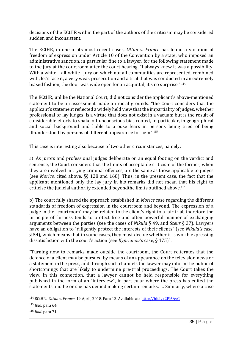decisions of the ECtHR within the part of the authors of the criticism may be considered sudden and inconsistent.

The ECtHR, in one of its most recent cases, *Ottan v. France* has found a violation of freedom of expression under Article 10 of the Convention by a state, who imposed an administrative sanction, in particular fine to a lawyer, for the following statement made to the jury at the courtroom after the court hearing, "I always knew it was a possibility. With a white – all-white –jury on which not all communities are represented, combined with, let's face it, a very weak prosecution and a trial that was conducted in an extremely biased fashion, the door was wide open for an acquittal, it's no surprise." <sup>114</sup>

The ECtHR, unlike the National Court, did not consider the applicant's above-mentioned statement to be an assessment made on racial grounds. "the Court considers that the applicant's statement reflected a widely held view that the impartiality of judges, whether professional or lay judges, is a virtue that does not exist in a vacuum but is the result of considerable efforts to shake off unconscious bias rooted, in particular, in geographical and social background and liable to arouse fears in persons being tried of being ill-understood by persons of different appearance to them". 115

This case is interesting also because of two other circumstances, namely:

a) As jurors and professional judges deliberate on an equal footing on the verdict and sentence, the Court considers that the limits of acceptable criticism of the former, when they are involved in trying criminal offences, are the same as those applicable to judges (see *Morice,* cited above, §§ 128 and 168). Thus, in the present case, the fact that the applicant mentioned only the lay jury in his remarks did not mean that his right to criticise the judicial authority extended beyondthe limits outlined above.<sup>116</sup>

b) The court fully shared the approach established in *Morice* case regarding the different standards of freedom of expression in the courtroom and beyond. The expression of a judge in the "courtroom" may be related to the client's right to a fair trial, therefore the principle of fairness tends to protect free and often powerful manner of exchanging arguments between the parties (see the cases of *Nikula* § 49, and *Steur* § 37). Lawyers have an obligation to "diligently protect the interests of their clients" (see *Nikula's* case, § 54), which means that in some cases, they must decide whether it is worth expressing dissatisfaction with the court's action (see *Kyprianou'*s case, § 175)".

"Turning now to remarks made outside the courtroom, the Court reiterates that the defence of a client may be pursued by means of an appearance on the television news or a statement in the press, and through such channels the lawyer may inform the public of shortcomings that are likely to undermine pre-trial proceedings. The Court takes the view, in this connection, that a lawyer cannot be held responsible for everything published in the form of an "interview", in particular where the press has edited the statements and he or she has denied making certain remarks. … Similarly, where a case

<sup>&</sup>lt;sup>114</sup> ECtHR. *Ottan v. France*. 19 April, 2018. Para 13. Available at: http://bit.ly/2PJ6AvG

<sup>115</sup> *Ibid.* para 64.

<sup>116</sup> *Ibid.* para 71.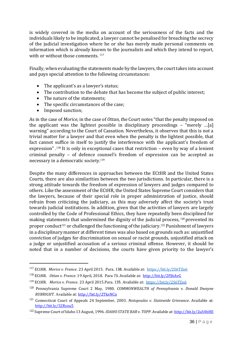is widely covered in the media on account of the seriousness of the facts and the individuals likely to be implicated, a lawyer cannot be penalised for breaching the secrecy of the judicial investigation where he or she has merely made personal comments on information which is already known to the journalists and which they intend to report, with or without those comments.  $117$ 

Finally, when evaluating the statements made by the lawyers, the court takes into account and pays special attention to the following circumstances:

- The applicant's as a lawyer's status;
- The contribution to the debate that has become the subject of public interest;
- The nature of the statements;
- The specific circumstances of the case;
- Imposed sanction;

As in the case of *Morice,* in the case of *Ottan, t*he Court notes "that the penalty imposed on the applicant was the lightest possible in disciplinary proceedings – "merely …[a] warning" according to the Court of Cassation. Nevertheless, it observes that this is not a trivial matter for a lawyer and that even when the penalty is the lightest possible, that fact cannot suffice in itself to justify the interference with the applicant's freedom of expression" .<sup>118</sup> It is only in exceptional cases that restriction – even by way of a lenient criminal penalty – of defence counsel's freedom of expression can be accepted as necessary in a democratic society. 119

Despite the many differences in approaches between the ECtHR and the United States Courts, there are also similarities between the two jurisdictions. In particular, there is a strong attitude towards the freedom of expression of lawyers and judges compared to others. Like the assessment of the ECtHR, the United States Supreme Court considers that the lawyers, because of their special role in proper administration of justice, should refrain from criticizing the judiciary, as this may adversely affect the society's trust towards judicial institutions. In addition, given that the activities of lawyers are largely controlled by the Code of Professional Ethics, they have repeatedly been disciplined for making statements that undermined the dignity of the judicial process, <sup>120</sup> prevented its proper conduct<sup>121</sup> or challenged the functioning of the judiciary.<sup>122</sup> Punishment of lawyers in a disciplinary manner at different times was also based on grounds such as: unjustified conviction of judges for discrimination on sexual or racist grounds, unjustified attack on a judge or unjustified accusation of a serious criminal offense. However, it should be noted that in a number of decisions, the courts have given priority to the lawyer's

<sup>117</sup> ECtHR. *Morice v. France*. 23 April 2015. Para. 138. Available at: <https://bit.ly/2S6TZn6>

<sup>118</sup> ECtHR. *Ottan v. France*. 19 April, 2018. Para 73. Available at: <http://bit.ly/2PJ6AvG>

<sup>119</sup> ECtHR. *Morice v. France*. 23 April 2015.Para. 135. Available at:<https://bit.ly/2S6TZn6>

<sup>120</sup> Pennsylvania Supreme Court 2 May, 1980. *COMMONWEALTH of Pennsylvania v. Donald Dwayne RUBRIGHT.* Available at:<http://bit.ly/2TksNCn>

<sup>121</sup> Connecticut Court of Appeals 24 September, 2003. *Notopoulos v. Statewide Grievance*. Available at: <http://bit.ly/32Rsou5>

<sup>122</sup> Supreme Court of Idaho 13 August, 1996. *IDAHO STATE BAR v. TOPP*. Available at[: http://bit.ly/2uS4bHE](http://bit.ly/2uS4bHE)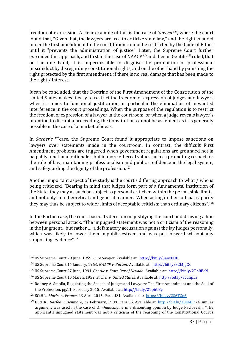freedom of expression. A clear example of this is the case of *Sawyer*123, where the court found that, "Given that, the lawyers are free to criticize state law," and the right ensured under the first amendment to the constitution cannot be restricted by the Code of Ethics until it "prevents the administration of justice". Later, the Supreme Court further expanded this approach, and first in the case of NAACP $^{124}$  and then in Gentile<sup>125</sup> ruled, that on the one hand, it is impermissible to disguise the prohibition of professional misconduct by disregarding constitutional rights, and on the other hand by punishing the right protected by the first amendment, if there is no real damage that has been made to the right / interest.

It can be concluded, that the Doctrine of the First Amendment of the Constitution of the United States makes it easy to restrict the freedom of expression of judges and lawyers when it comes to functional justification, in particular the elimination of unwanted interference in the court proceedings. When the purpose of the regulation is to restrict the freedom of expression of a lawyer in the courtroom, or when a judge reveals lawyer's intention to disrupt a proceeding, the Constitution cannot be as lenient as it is generally possible in the case of a market of ideas.

In *Sacher's* <sup>126</sup>case, the Supreme Court found it appropriate to impose sanctions on lawyers over statements made in the courtroom. In contrast, the difficult First Amendment problems are triggered when government regulations are grounded not in palpably functional rationales, but in more ethereal values such as promoting respect for the rule of law, maintaining professionalism and public confidence in the legal system, and safeguarding the dignity of the profession.<sup>127</sup>

Another important aspect of the study is the court's differing approach to what / who is being criticized. "Bearing in mind that judges form part of a fundamental institution of the State, they may as such be subject to personal criticism within the permissible limits, and not only in a theoretical and general manner. When acting in their official capacity they may thus be subject to wider limits of acceptable criticism than ordinary citizens".<sup>128</sup>

In the Barfod case, the court based its decision on justifying the court and drawing a line between personal attack, "The impugned statement was not a criticism of the reasoning in the judgment…but rather …. a defamatory accusation against the lay judges personally, which was likely to lower them in public esteem and was put forward without any supporting evidence".<sup>129</sup>

<sup>123</sup> US Supreme Court 29 June, 1959. *In re Sawyer.* Available at: <http://bit.ly/3aosEDF>

<sup>124</sup> US Supreme Court 14 January, 1963. *NAACP v. Button*. Available at:<http://bit.ly/32MJgCs>

<sup>125</sup> US Supreme Court 27 June, 1991. *Gentile v. State Bar of Nevada.* Available at: <http://bit.ly/2Tn8EeN>

<sup>126</sup> US Supreme Court 10 March, 1952. *Sacher v. United States.* Available at: <http://bit.ly/3cuhpLz>

<sup>&</sup>lt;sup>127</sup> Rodney A. Smolla, Regulating the Speech of Judges and Lawyers: The First Amendment and the Soul of the Profession, pg.11. February 2015. Available at: <http://bit.ly/2Tp6USy>

<sup>128</sup> ECtHR. *Morice v. France*. 23 April 2015. Para. 131. Available at:<https://bit.ly/2S6TZn6>

<sup>129</sup> ECtHR. *Barfod v. Denmark,* 22 February, 1989. Para 35. Available at: <http://bit.ly/38jiMJP> (A similar argument was used in the case of *Amihalachioaie* in a dissenting opinion by Judge Pavlovcshi; "The applicant's impugned statement was not a criticism of the reasoning of the Constitutional Court's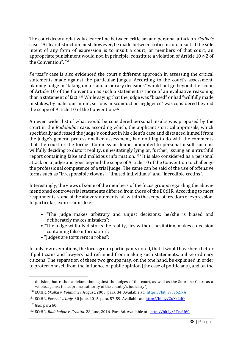The court drew a relatively clearer line between criticism and personal attack on *Skalka's* case: "A clear distinction must, however, be made between criticism and insult. If the sole intent of any form of expression is to insult a court, or members of that court, an appropriate punishment would not, in principle, constitute a violation of Article 10 § 2 of the Convention". 130

*Peruzzi's* case is also evidenced the court's different approach in assessing the critical statements made against the particular judges. According to the court's assessment, blaming judge in "taking unfair and arbitrary decisions" would not go beyond the scope of Article 10 of the Convention as such a statement is more of an evaluative reasoning than a statement of fact.  $^{\rm 131}$  While saying that the judge was "biased" or had "willfully made mistakes, by malicious intent, serious misconduct or negligence" was considered beyond the scope of Article 10 of the Convention. 132

An even wider list of what would be considered personal insults was proposed by the court in the *Radobuljac* case, according which, the applicant's critical appraisals, which specifically addressed the judge's conduct in his client's case and distanced himself from the judge's general professionalism assessment, had nothing to do with the comments that the court or the former Commission found amounted to personal insult such as: willfully deciding to distort reality, unhesitatingly lying or, further, issuing an untruthful report containing false and malicious information. <sup>133</sup> It is also considered as a personal attack on a judge and goes beyond the scope of Article 10 of the Convention to challenge the professional competence of a trial judge. The same can be said of the use of offensive terms such as "irresponsible clowns", "limited individuals" and "incredible cretins".

Interestingly, the views of some of the members of the focus groups regarding the abovementioned controversial statements differed from those of the ECtHR. According to most respondents, some of the above statements fall within the scope of freedom of expression. In particular, expressions like:

- "The judge makes arbitrary and unjust decisions; he/she is biased and deliberately makes mistakes";
- "The judge willfully distorts the reality, lies without hesitation, makes a decision containing false information";
- "Judges are torturers in robes";

In only few exemptions, the focus group participants noted, that it would have been better if politicians and lawyers had refrained from making such statements, unlike ordinary citizens. The separation of these two groups may, on the one hand, be explained in order to protect oneself from the influence of public opinion (the case of politicians), and on the

decision, but rather a defamation against the judges of the court, as well as the Supreme Court as a whole, against the supreme authority of the country's judiciary").

<sup>130</sup> ECtHR. *Skalka v. Poland,* 27 August, 2003. para. 34. Available at: <https://bit.ly/3c6ZIkA>

<sup>131</sup> ECtHR. *Peruzzi v. Italy*, 30 June, 2015. para. 57-59. Available at: <http://bit.ly/2uXx2dO>

<sup>132</sup> *Ibid,* para 60.

<sup>133</sup> ECtHR. *Radobuljac v. Croatia.* 28 June, 2016. Para 66. Available at: <http://bit.ly/2TnaU60>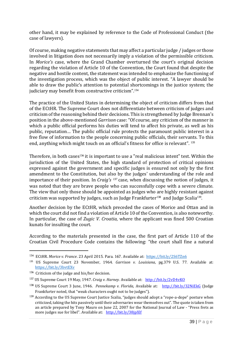other hand, it may be explained by reference to the Code of Professional Conduct (the case of lawyers).

Of course, making negative statements that may affect a particular judge / judges or those involved in litigation does not necessarily imply a violation of the permissible criticism. In *Morice's* case, where the Grand Chamber overturned the court's original decision regarding the violation of Article 10 of the Convention, the Court found that despite the negative and hostile content, the statement was intended to emphasize the functioning of the investigation process, which was the object of public interest. "A lawyer should be able to draw the public's attention to potential shortcomings in the justice system; the judiciary may benefit from constructive criticism". 134

The practice of the United States in determining the object of criticism differs from that of the ECtHR. The Supreme Court does not differentiate between criticism of judges and criticism of the reasoning behind their decisions. This is strengthened by Judge Brennan's position in the above-mentioned *Garrison* case: "Of course, any criticism of the manner in which a public official performs his duties will tend to affect his private, as well as his public, reputation… The public official rule protects the paramount public interest in a free flow of information to the people concerning public officials, their servants. To this end, anything which might touch on an official's fitness for office is relevant". <sup>135</sup>

Therefore, in both cases<sup>136</sup> it is important to use a "real malicious intent" test. Within the jurisdiction of the United States, the high standard of protection of critical opinions expressed against the government and specific judges is ensured not only by the first amendment to the Constitution, but also by the judges' understanding of the role and importance of their position. In *Craig's* <sup>137</sup> case, when discussing the notion of judges, it was noted that they are brave people who can successfully cope with a severe climate. The view that only those should be appointed as judges who are highly resistant against criticism was supported by judges, such as Judge Frankfurter<sup>138</sup> and Judge Scalia<sup>139</sup>.

Another decision by the ECtHR, which preceded the cases of Morice and Ottan and in which the court did not find a violation of Article 10 of the Convention, is also noteworthy. In particular, the case of *Zugic V. Croatia*, where the applicant was fined 500 Croatian kunats for insulting the court.

According to the materials presented in the case, the first part of Article 110 of the Croatian Civil Procedure Code contains the following: "the court shall fine a natural

<sup>&</sup>lt;sup>134</sup> ECtHR. *Morice v. France.* 23 April 2015. Para. 167. Available at: <u><https://bit.ly/2S6TZn6></u>

<sup>135</sup> US Supreme Court 23 November, 1964. *Garrison v. Louisiana*, pg.379 U.S. 77*.* Available at: <https://bit.ly/3bvtEXv>

 $136$  Criticism of the judge and his/her decision.

<sup>137</sup> US Supreme Court 19 May, 1947. *Craig v. Harney.* Available at: <http://bit.ly/2vD4vKO>

<sup>138</sup> US Supreme Court 3 June, 1946. *Pennekamp v. Florida,* Available at: <http://bit.ly/32NiEkG> (Judge Frankfurter noted, that "weak characters ought not to be judges").

<sup>&</sup>lt;sup>139</sup> According to the US Supreme Court Justice Scalia, "judges should adopt a "rope-a-dope" posture when criticized, taking the hits passively until their adversaries wear themselves out". The quote is taken from an article prepared by Tony Mauro on June 22, 2007 for the National Journal of Law - "Press frets as more judges sue for libel". Available at: <http://bit.ly/38jpXlf>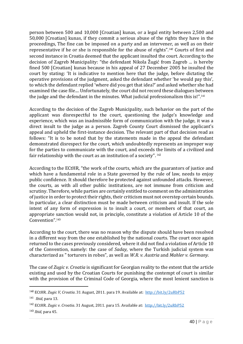person between 500 and 10,000 [Croatian] kunas, or a legal entity between 2,500 and 50,000 [Croatian] kunas, if they commit a serious abuse of the rights they have in the proceedings, The fine can be imposed on a party and an intervener, as well as on their representative if he or she is responsible for the abuse of rights". <sup>140</sup> Courts of first and second instance in Croatia deemed that the applicant insulted the court. According to the decision of Zagreb Municipality: "the defendant Nikola Žugić from Zagreb ... is hereby fined 500 [Croatian] kunas because in his appeal of 27 December 2005 he insulted the court by stating: 'It is indicative to mention here that the judge, before dictating the operative provisions of the judgment, asked the defendant whether 'he would pay this', to which the defendant replied 'where did you get that idea?' and asked whether she had examined the case file.... Unfortunately, the court did not record these dialogues between the judge and the defendant in the minutes. What judicial professionalism this is!".<sup>141</sup>

According to the decision of the Zagreb Municipality, such behavior on the part of the applicant was disrespectful to the court, questioning the judge's knowledge and experience, which was an inadmissible form of communication with the judge, it was a direct insult to the judge as a person. Zagreb County Court dismissed the applicant's appeal and upheld the first-instance decision. The relevant part of that decision read as follows: "It is to be noted that by the statements made in the appeal the defendant demonstrated disrespect for the court, which undoubtedly represents an improper way for the parties to communicate with the court, and exceeds the limits of a civilized and fair relationship with the court as an institution of a society".  $^{142}$ 

According to the ECtHR, "the work of the courts, which are the guarantors of justice and which have a fundamental role in a State governed by the rule of law, needs to enjoy public confidence. It should therefore be protected against unfounded attacks. However, the courts, as with all other public institutions, are not immune from criticism and scrutiny. Therefore, while parties are certainly entitled to comment on the administration of justice in order to protect their rights, their criticism must not overstep certain bounds. In particular, a clear distinction must be made between criticism and insult. If the sole intent of any form of expression is to insult a court, or members of that court, an appropriate sanction would not, in principle, constitute a violation of Article 10 of the Convention".<sup>143</sup>

According to the court, there was no reason why the dispute should have been resolved in a different way from the one established by the national courts. The court once again returned to the cases previously considered, where it did not find a violation of Article 10 of the Convention, namely: the case of *Saday,* where the Turkish judicial system was characterized as " torturers in robes", as well as *W.R. v. Austria* and *Mahler v. Germany.*

The case of *Zugic v. Croatia* is significant for Georgian reality to the extent that the article existing and used by the Croatian Courts for punishing the contempt of court is similar with the provision of the Criminal Code of Georgia, where the most lenient sanction is

<sup>140</sup> ECtHR. *Zugic V, Croatia*. 31 August, 2011. para 19. Available at: <http://bit.ly/2uRbP52>

<sup>141</sup> *Ibid,* para 13.

<sup>142</sup> ECtHR. *Zugic v. Croatia*. 31 August, 2011. para 15. Available at: <http://bit.ly/2uRbP52>

<sup>143</sup> *Ibid,* para 45.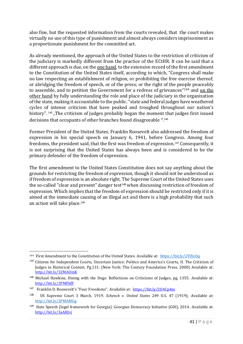also fine, but the requested information from the courts revealed, that the court makes virtually no use of this type of punishment and almost always considers imprisonment as a proportionate punishment for the committed act.

As already mentioned, the approach of the United States to the restriction of criticism of the judiciary is markedly different from the practice of the ECtHR. It can be said that a different approach is due, on the <u>one hand</u>, to the extensive record of the first amendment to the Constitution of the United States itself, according to which, "Congress shall make no law respecting an establishment of religion, or prohibiting the free exercise thereof; or abridging the freedom of speech, or of the press; or the right of the people peaceably to assemble, and to petition the Government for a redress of grievances"<sup>144</sup> and <u>on the</u> other hand by fully understanding the role and place of the judiciary in the organization of the state, making it accountable to the public. "state and federal judges have weathered cycles of intense criticism that have peaked and troughed throughout our nation's history". <sup>145</sup> "The criticism of judges probably began the moment that judges first issued decisions that occupants of other branches found disagreeable ". 146

Former President of the United States, Franklin Roosevelt also addressed the freedom of expression in his special speech on January 6, 1941, before Congress. Among four freedoms, the president said, that the first was freedom of expression.<sup>147</sup> Consequently, it is not surprising that the United States has always been and is considered to be the primary defender of the freedom of expression.

The first amendment to the United States Constitution does not say anything about the grounds for restricting the freedom of expression, though it should not be understood as if freedom of expression is an absolute right. The Supreme Court of the United States uses the so-called "clear and present" danger test<sup>148</sup> when discussing restriction of freedom of expression. Which implies that the freedom of expression should be restricted only if it is aimed at the immediate causing of an illegal act and there is a high probability that such an action will take place.<sup>149</sup>

<sup>&</sup>lt;sup>144</sup> First Amendment to the Constitution of the United States. Available at: <https://bit.ly/2YlXvOq>

<sup>145</sup> Citizens for Independent Courts, Uncertain Justice: Politics and America's Courts, II. The Criticism of Judges in Historical Context. Pg.131. (New York: The Century Foundation Press, 2000) Available at: <http://bit.ly/32MAOmK>

<sup>&</sup>lt;sup>146</sup> Michael Hawkins, Dining with the Dogs: Reflections on Criticisms of Judges, pg. 1355. Available at: <http://bit.ly/2PMFkfF>

<sup>&</sup>lt;sup>147</sup> Franklin D. Roosevelt's "Four Freedoms". Available at: <u>https://bit.ly/2U4Cp4m</u>

<sup>148</sup> US Supreme Court 3 March, 1919. *Schenck v. United States* 249 U.S. 47 (1919); Available at: <http://bit.ly/2PMAMGg>

<sup>149</sup> Hate Speech (legal framework for Georgia). Georgian Democracy Initiative (GDI), 2014. Available at: <http://bit.ly/3aARJvj>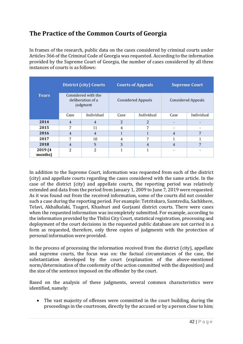## <span id="page-41-0"></span>**The Practice of the Common Courts of Georgia**

In frames of the research, public data on the cases considered by criminal courts under Articles 366 of the Criminal Code of Georgia was requested. According to the information provided by the Supreme Court of Georgia, the number of cases considered by all three instances of courts is as follows:

|                    | <b>District (city) Courts</b><br>Considered with the<br>deliberation of a<br>judgment |                | <b>Courts of Appeals</b>  |                | <b>Supreme Court</b>      |            |
|--------------------|---------------------------------------------------------------------------------------|----------------|---------------------------|----------------|---------------------------|------------|
| <b>Years</b>       |                                                                                       |                | <b>Considered Appeals</b> |                | <b>Considered Appeals</b> |            |
|                    | Case                                                                                  | Individual     | Case                      | Individual     | Case                      | Individual |
| 2014               | $\overline{4}$                                                                        | $\overline{4}$ | $\overline{2}$            | $\overline{2}$ |                           |            |
| 2015               | 7                                                                                     | 11             | 4                         | 7              | ۰                         |            |
| 2016               | $\overline{4}$                                                                        | $\overline{4}$ |                           |                | $\overline{4}$            | 7          |
| 2017               | 7                                                                                     | 10             | 4                         | 7              | 1                         |            |
| 2018               | $\overline{4}$                                                                        | 5              | 3                         | $\overline{4}$ | $\overline{4}$            | 7          |
| 2019 (4<br>months) | $\overline{2}$                                                                        | $\overline{2}$ |                           | 1              |                           |            |

In addition to the Supreme Court, information was requested from each of the district (city) and appellate courts regarding the cases considered with the same article. In the case of the district (city) and appellate courts, the reporting period was relatively extended and data from the period from January 1, 2009 to June 7, 2019 were requested. As it was found out from the received information, some of the courts did not consider such a case during the reporting period. For example: Tetritskaro, Samtredia, Sachkhere, Telavi, Akhalkalaki, Tsageri, Khashuri and Gurjaani district courts. There were cases when the requested information was incompletely submitted. For example, according to the information provided by the Tbilisi City Court, statistical registration, processing and deployment of the court decisions in the requested public database are not carried in a form as requested, therefore, only three copies of judgments with the protection of personal information were provided.

In the process of processing the information received from the district (city), appellate and supreme courts, the focus was on: the factual circumstances of the case, the substantiation developed by the court (explanation of the above-mentioned norm/determination of the conformity of the action committed with the disposition) and the size of the sentence imposed on the offender by the court.

Based on the analysis of these judgments, several common characteristics were identified, namely:

• The vast majority of offenses were committed in the court building, during the proceedings in the courtroom, directly by the accused or by a person close to him;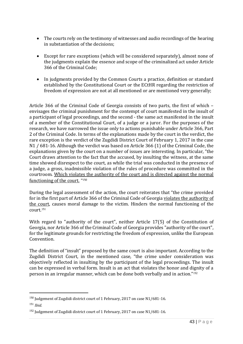- The courts rely on the testimony of witnesses and audio recordings of the hearing in substantiation of the decisions;
- Except for rare exceptions (which will be considered separately), almost none of the judgments explain the essence and scope of the criminalized act under Article 366 of the Criminal Code;
- In judgments provided by the Common Courts a practice, definition or standard established by the Constitutional Court or the ECtHR regarding the restriction of freedom of expression are not at all mentioned or are mentioned very generally;

Article 366 of the Criminal Code of Georgia consists of two parts, the first of which – envisages the criminal punishment for the contempt of court manifested in the insult of a participant of legal proceedings, and the second - the same act manifested in the insult of a member of the Constitutional Court, of a judge or a juror. For the purposes of the research, we have narrowed the issue only to actions punishable under Article 366, Part 2 of the Criminal Code. In terms of the explanations made by the court in the verdict, the rare exception is the verdict of the Zugdidi District Court of February 1, 2017 in the case N1 / 681-16. Although the verdict was based on Article 366 (1) of the Criminal Code, the explanations given by the court on a number of issues are interesting. In particular, "the Court draws attention to the fact that the accused, by insulting the witness, at the same time showed disrespect to the court, as while the trial was conducted in the presence of a judge, a gross, inadmissible violation of the rules of procedure was committed in the courtroom. Which violates the authority of the court and is directed against the normal functioning of the court. " 150

During the legal assessment of the action, the court reiterates that "the crime provided for in the first part of Article 366 of the Criminal Code of Georgia violates the authority of the court, causes moral damage to the victim. Hinders the normal functioning of the court.<sup>151</sup>

With regard to "authority of the court", neither Article 17(5) of the Constitution of Georgia, nor Article 366 of the Criminal Code of Georgia provides "authority of the court", for the legitimate grounds for restricting the freedom of expression, unlike the European Convention.

The definition of "insult" proposed by the same court is also important. According to the Zugdidi District Court, in the mentioned case, "the crime under consideration was objectively reflected in insulting by the participant of the legal proceedings. The insult can be expressed in verbal form. Insult is an act that violates the honor and dignity of a person in an irregular manner, which can be done both verbally and in action."<sup>152</sup>

<sup>&</sup>lt;sup>150</sup> Judgement of Zugdidi district court of 1 February, 2017 on case N1/681-16.

<sup>151</sup> *Ibid.*

<sup>&</sup>lt;sup>152</sup> Judgement of Zugdidi district court of 1 February, 2017 on case N1/681-16.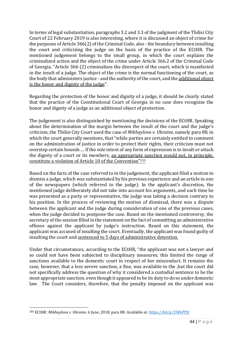In terms of legal substantiation, paragraphs 3.2 and 3.3 of the judgment of the Tbilisi City Court of 22 February 2019 is also interesting, where it is discussed an object of crime for the purposes of Article 366(2) of the Criminal Code, also - the boundary between insulting the court and criticizing the judge on the basis of the practice of the ECtHR. The mentioned judgement belongs to the small group, in which the court explains the criminalized action and the object of the crime under Article 366.2 of the Criminal Code of Georgia. "Article 366 (2) criminalizes the disrespect of the court, which is manifested in the insult of a judge. The object of the crime is the normal functioning of the court, as the body that administers justice - and the authority of the court, and the additional object is the honor and dignity of the judge".

Regarding the protection of the honor and dignity of a judge, it should be clearly stated that the practice of the Constitutional Court of Georgia in no case does recognize the honor and dignity of a judge as an additional object of protection.

The judgement is also distinguished by mentioning the decisions of the ECtHR. Speaking about the determination of the margin between the insult of the court and the judge's criticism, the Tbilisi City Court used the case of *Mikhaylova v. Ukraine*, namely para 88, in which the court generally mentions, that "while parties are certainly entitled to comment on the administration of justice in order to protect their rights, their criticism must not overstep certain bounds…. If the sole intent of any form of expression is to insult or attack the dignity of a court or its members, an appropriate sanction would not, in principle, constitute a violation of Article 10 of the Convention" 153

Based on the facts of the case referred to in the judgement, the applicant filed a motion to dismiss a judge, which was substantiated by his previous experience and an article in one of the newspapers (which referred to the judge). In the applicant's discretion, the mentioned judge deliberately did not take into account his arguments, and each time he was presented as a party or representative, the judge was taking a decision contrary to his position. In the process of reviewing the motion of dismissal, there was a dispute between the applicant and the judge during consideration of one of the previous cases, when the judge decided to postpone the case. Based on the mentioned controversy, the secretary of the session filled in the statement on the fact of committing an administrative offense against the applicant by judge's instruction. Based on this statement, the applicant was accused of insulting the court. Eventually, the applicant was found guilty of insulting the court and sentenced to 5 days of administrative detention.

Under that circumstances, according to the ECtHR, "the applicant was not a lawyer and so could not have been subjected to disciplinary measures; this limited the range of sanctions available to the domestic court in respect of her misconduct. It remains the case, however, that a less severe sanction, a fine, was available to the ,but the court did not specifically address the question of why it considered a custodial sentence to be the most appropriate sanction, even though it appeared to be its duty to do so under domestic law. The Court considers, therefore, that the penalty imposed on the applicant was

<sup>153</sup> ECtHR: *Mikhaylova v. Ukraine*. 6 June, 2018. para 88. Available at:<https://bit.ly/2WkPPJI>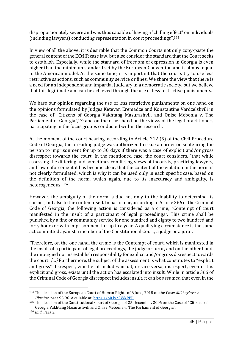disproportionately severe and was thus capable of having a "chilling effect" on individuals (including lawyers) conducting representation in court proceedings".<sup>154</sup>

In view of all the above, it is desirable that the Common Courts not only copy-paste the general content of the ECtHR case law, but also consider the standard that the Court seeks to establish. Especially, while the standard of freedom of expression in Georgia is even higher than the minimum standard set by the European Convention and is almost equal to the American model. At the same time, it is important that the courts try to use less restrictive sanctions, such as community service or fines. We share the view that there is a need for an independent and impartial Judiciary in a democratic society, but we believe that this legitimate aim can be achieved through the use of less restrictive punishments.

We base our opinion regarding the use of less restrictive punishments on one hand on the opinions formulated by Judges Ketevan Eremadze and Konstantine Vardzelshvili in the case of "Citizens of Georgia Vakhtang Masurashvili and Onise Mebonia v. The Parliament of Georgia",<sup>155</sup> and on the other hand on the views of the legal practitioners participating in the focus groups conducted within the research.

At the moment of the court hearing, according to Article 212 (5) of the Civil Procedure Code of Georgia, the presiding judge was authorized to issue an order on sentencing the person to imprisonment for up to 30 days if there was a case of explicit and/or gross disrespect towards the court. In the mentioned case, the court considers, "that while assessing the differing and sometimes conflicting views of theorists, practicing lawyers, and law enforcement it has become clear, that the content of the violation in the norm is not clearly formulated, which is why it can be used only in each specific case, based on the definition of the norm, which again, due to its inaccuracy and ambiguity, is heterogeneous" <sup>156</sup>

However, the ambiguity of the norm is due not only to the inability to determine its species, but also to the content itself. In particular, according to Article 366 of the Criminal Code of Georgia, the following action is considered as a crime, "Contempt of court manifested in the insult of a participant of legal proceedings". This crime shall be punished by a fine or community service for one hundred and eighty to two hundred and forty hours or with imprisonment for up to a year. A qualifying circumstance is the same act committed against a member of the Constitutional Court, a judge or a juror.

"Therefore, on the one hand, the crime is the Contempt of court, which is manifested in the insult of a participant of legal proceedings, the judge or juror, and on the other hand, the impugned norms establish responsibility for explicit and/or gross disrespect towards the court. [...] Furthermore, the subject of the assessment is what constitutes to "explicit and gross" disrespect, whether it includes insult, or vice versa, disrespect, even if it is explicit and gross, exists until the action has escalated into insult. While in article 366 of the Criminal Code of Georgia disrespect includes insult, it can be assumed that even in the

<sup>154</sup> The decision of the European Court of Human Rights of 6 June, 2018 on the Case: *Mikhaylova v. Ukraine*. para 95,96. Available at:<https://bit.ly/2WkPPJI>

<sup>155</sup> The decision of the Constitutional Court of Georgia of 25 December, 2006 on the Case of "Citizens of Georgia Vakhtang Masurashvili and Onise Mebonia v. The Parliament of Georgia".

<sup>156</sup> *Ibid.* Para 2.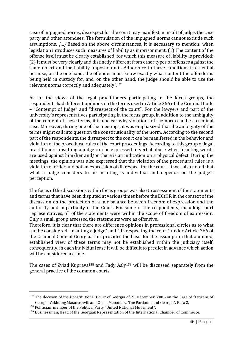case of impugned norms, disrespect for the court may manifest in insult of judge, the case party and other attendees. The formulation of the impugned norms cannot exclude such assumptions. [...] Based on the above circumstances, it is necessary to mention: when legislation introduces such measures of liability as imprisonment, (1) The content of the offense itself must be clearly established, for which this measure of liability is provided; (2) It must be very clearly and distinctly different from other types of offenses against the same object and the liability imposed on it. Adherence to these conditions is essential because, on the one hand, the offender must know exactly what content the offender is being held in custody for, and, on the other hand, the judge should be able to use the relevant norms correctly and adequately". 157

As for the views of the legal practitioners participating in the focus groups, the respondents had different opinions on the terms used in Article 366 of the Criminal Code – "Contempt of Judge" and "disrespect of the court". For the lawyers and part of the university's representatives participating in the focus group, in addition to the ambiguity of the content of these terms, it is unclear why violations of the norm can be a criminal case. Moreover, during one of the meetings, it was emphasized that the ambiguity of the terms might call into question the constitutionality of the norm. According to the second part of the respondents, the disrespect to the court can be manifested in the behavior and violation of the procedural rules of the court proceedings. According to this group of legal practitioners, insulting a judge can be expressed in verbal abuse when insulting words are used against him/her and/or there is an indication on a physical defect. During the meetings, the opinion was also expressed that the violation of the procedural rules is a violation of order and not an expression of disrespect for the court. It was also noted that what a judge considers to be insulting is individual and depends on the judge's perception.

The focus of the discussions within focus groups was also to assessment of the statements and terms that have been disputed at various times before the ECtHR in the context of the discussion on the protection of a fair balance between freedom of expression and the authority and impartiality of the Court. For some of the respondents, including court representatives, all of the statements were within the scope of freedom of expression. Only a small group assessed the statements were as offensive.

Therefore, it is clear that there are difference opinions in professional circles as to what can be considered "insulting a judge" and "disrespecting the court" under Article 366 of the Criminal Code of Georgia. This provides the basis for the assumption that a unified, established view of these terms may not be established within the judiciary itself, consequently, in each individual case it will be difficult to predict in advance which action will be considered a crime.

The cases of Zviad Kuprava<sup>158</sup> and Fady Asly<sup>159</sup> will be discussed separately from the general practice of the common courts.

<sup>&</sup>lt;sup>157</sup> The decision of the Constitutional Court of Georgia of 25 December, 2006 on the Case of "Citizens of Georgia Vakhtang Masurashvili and Onise Mebonia v. The Parliament of Georgia". Para 2.

<sup>158</sup> Politician, member of the Political Party "United National Movement".

<sup>159</sup> Businessman, Head of the Georgian Representation of the International Chamber of Commerce.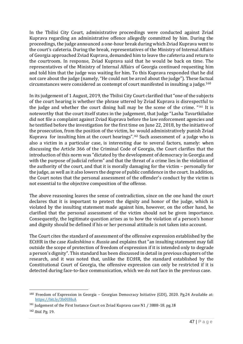In the Tbilisi City Court, administrative proceedings were conducted against Zviad Kuprava regarding an administrative offence allegedly committed by him. During the proceedings, the judge announced a one-hour break during which Zviad Kuprava went to the court's cafeteria. During the break, representatives of the Ministry of Internal Affairs of Georgia approached Zviad Kuprava, demanded him to leave the cafeteria and return to the courtroom. In response, Zviad Kuprava said that he would be back on time. The representatives of the Ministry of Internal Affairs of Georgia continued requesting him and told him that the judge was waiting for him. To this Kuprava responded that he did not care about the judge (namely, "He could not be arced about the judge"). These factual circumstances were considered as contempt of court manifested in insulting a judge.<sup>160</sup>

In its judgement of 1 August, 2019, the Tbilisi City Court clarified that "one of the subjects of the court hearing is whether the phrase uttered by Zviad Kuprava is disrespectful to the judge and whether the court dining hall may be the scene of the crime. "<sup>161</sup> It is noteworthy that the court itself states in the judgement, that Judge "Lasha Tavartkiladze did not file a complaint against Zviad Kuprava before the law enforcement agencies and he testified before the investigation for the first time on June 22, 2018, by the initiative of the prosecution, from the position of the victim, he would administratively punish Zviad Kuprava for insulting him at the court hearings".<sup>162</sup> Such assessment of a judge who is also a victim in a particular case, is interesting due to several factors, namely: when discussing the Article 366 of the Criminal Code of Georgia, the Court clarifies that the introduction of this norm was "dictated by the development of democracy in Georgia and with the purpose of judicial reform" and that the threat of a crime lies in the violation of the authority of the court, and that it is morally damaging for the victim – personally for the judge, as well as it also lowers the degree of public confidence in the court. In addition, the Court notes that the personal assessment of the offender's conduct by the victim is not essential to the objective composition of the offense.

The above reasoning leaves the sense of contradiction, since on the one hand the court declares that it is important to protect the dignity and honor of the judge, which is violated by the insulting statement made against him, however, on the other hand, he clarified that the personal assessment of the victim should not be given importance. Consequently, the legitimate question arises as to how the violation of a person's honor and dignity should be defined if his or her personal attitude is not taken into account.

The Court cites the standard of assessment of the offensive expression established by the ECtHR in the case *Kudeshkina v. Russia* and explains that "an insulting statement may fall outside the scope of protection of freedom of expression if it is intended only to degrade a person's dignity". This standard has been discussed in detail in previous chapters of the research, and it was noted that, unlike the ECtHR, the standard established by the Constitutional Court of Georgia, the offensive expression can only be restricted if it is detected during face-to-face communication, which we do not face in the previous case.

<sup>160</sup> Freedom of Expression in Georgia – Georgian Democracy Initiative (GDI), 2020. Pg.24 Available at: <https://bit.ly/3b0UHsA>

<sup>&</sup>lt;sup>161</sup> Judgement of the First Instance Court on Zviad Kuprava case N1 / 3888-18. pg.18

<sup>162</sup> *Ibid*. Pg. 19.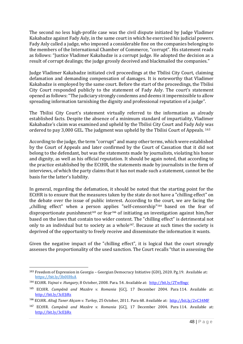The second no less high-profile case was the civil dispute initiated by Judge Vladimer Kakabadze against Fady Asly, in the same court in which he exercised his judicial powers. Fady Asly called a judge, who imposed a considerable fine on the companies belonging to the members of the International Chamber of Commerce, "corrupt". His statement reads as follows: "Justice Vladimer Kakabadze is a corrupt judge. He adopted the decision as a result of corrupt dealings; the judge grossly deceived and blackmailed the companies."

Judge Vladimer Kakabadze initiated civil proceedings at the Tbilisi City Court, claiming defamation and demanding compensation of damages. It is noteworthy that Vladimer Kakabadze is employed by the same court. Before the start of the proceedings, the Tbilisi City Court responded publicly to the statement of Fady Asly. The court's statement opened as follows: "The judiciary strongly condemns and deems it impermissible to allow spreading information tarnishing the dignity and professional reputation of a judge".

The Tbilisi City Court's statement virtually referred to the information as already established facts. Despite the absence of a minimum standard of impartiality, Vladimer Kakabadze's claim was examined and upheld by the Tbilisi City Court and Fady Asly was ordered to pay 3,000 GEL. The judgment was upheld by the Tbilisi Court of Appeals. <sup>163</sup>

According to the judge, the term "corrupt" and many other terms, which were established by the Court of Appeals and later confirmed by the Court of Cassation that it did not belong to the defendant, but was the statements made by journalists, violating his honor and dignity, as well as his official reputation. It should be again noted, that according to the practice established by the ECtHR, the statements made by journalists in the form of interviews, of which the party claims that it has not made such a statement, cannot be the basis for the latter's liability.

In general, regarding the defamation, it should be noted that the starting point for the ECtHR is to ensure that the measures taken by the state do not have a "chilling effect" on the debate over the issue of public interest. According to the court, we are facing the "chilling effect" when a person applies "self-censorship"<sup>164</sup> based on the fear of disproportionate punishment<sup>165</sup> or fear<sup>166</sup> of initiating an investigation against him/her based on the laws that contain too wider content. The "chilling effect" is detrimental not only to an individual but to society as a whole<sup>167</sup>. Because at such times the society is deprived of the opportunity to freely receive and disseminate the information it wants.

Given the negative impact of the "chilling effect", it is logical that the court strongly assesses the proportionality of the used sanction. The Court recalls "that in assessing the

<sup>163</sup> Freedom of Expression in Georgia – Georgian Democracy Initiative (GDI), 2020. Pg.19. Available at: <https://bit.ly/3b0UHsA>

<sup>&</sup>lt;sup>164</sup> ECtHR. *Vajnai v. Hungary*, 8 October, 2008. Para. 54. Available at: <http://bit.ly/2TwBngc>

<sup>165</sup> ECtHR. *Cumpănă and Mazăre v. Romania* [GC], 17 December 2004. Para 114. Available at: <http://bit.ly/3cEJiRs>

<sup>166</sup> ECtHR. *Altuğ Taner Akçam v. Turkey*, 25 October, 2011. Para 68. Available at: <http://bit.ly/2vC34MF>

<sup>167</sup> ECtHR. *Cumpănă and Mazăre v. Romania* [GC], 17 December 2004. Para 114. Available at: <http://bit.ly/3cEJiRs>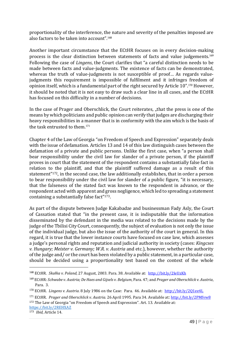proportionality of the interference, the nature and severity of the penalties imposed are also factors to be taken into account".<sup>168</sup>

Another important circumstance that the ECtHR focuses on in every decision-making process is the clear distinction between statements of facts and value judgements.<sup>169</sup> Following the case of *Lingens*, the Court clarifies that "a careful distinction needs to be made between facts and value-judgments. The existence of facts can be demonstrated, whereas the truth of value-judgments is not susceptible of proof... As regards valuejudgments this requirement is impossible of fulfilment and it infringes freedom of opinion itself, which is a fundamental part of the right secured by Article 10".<sup>170</sup> However, it should be noted that it is not easy to draw such a clear line in all cases, and the ECtHR has focused on this difficulty in a number of decisions.

In the case of Prager and Oberschlick, the Court reiterates, "that the press is one of the means by which politicians and public opinion can verify that judges are discharging their heavy responsibilities in a manner that is in conformity with the aim which is the basis of the task entrusted to them.<sup>171</sup>

Chapter 4 of the Law of Georgia "on Freedom of Speech and Expression" separately deals with the issue of defamation. Articles 13 and 14 of this law distinguish cases between the defamation of a private and public persons. Unlike the first case, when "a person shall bear responsibility under the civil law for slander of a private person, if the plaintiff proves in court that the statement of the respondent contains a substantially false fact in relation to the plaintiff, and that the plaintiff suffered damage as a result of this statement" <sup>172</sup>, in the second case, the law additionally establishes, that in order a person to bear responsibility under the civil law for slander of a public figure, "it is necessary, that the falseness of the stated fact was known to the respondent in advance, or the respondent acted with apparent and gross negligence, which led to spreading a statement containing a substantially false fact" <sup>173</sup>.

As part of the dispute between Judge Kakabadze and businessman Fady Asly, the Court of Cassation stated that "in the present case, it is indisputable that the information disseminated by the defendant in the media was related to the decisions made by the judge of the Tbilisi City Court, consequently, the subject of evaluation is not only the issue of the individual judge, but also the issue of the authority of the court in general. In this regard, it is true that the lower instance courts have focused on case law, which assesses a judge's personal rights and reputation and judicial authority in society (cases: *Kingcses v. Hungary; Meister v. Germany; W.R. v. Austria* and etc.), however, whether the authority of the judge and/ or the court has been violated by a public statement, in a particular case, should be decided using a proportionality test based on the context of the whole

<sup>173</sup> *Ibid,* Article 14.

<sup>168</sup> ECtHR. *Skałka v. Poland,* 27 August, 2003. Para. 38. Available at: <http://bit.ly/2IeUzKh>

<sup>169</sup> ECtHR*: Schwabe v. Austria; De Haes and Gijsels v. Belgium*, Para. 47; and *Prager and Oberschlick v. Austria*, Para. 3.

<sup>&</sup>lt;sup>170</sup> ECtHR. *Lingens v. Austria.* 8 July 1986 on the Case: Para. 46. Available at: <http://bit.ly/2Q1ee4L>

<sup>171</sup> ECtHR. *Prager and Oberschlick v. Austria.* 26 April 1995. Para 34. Available at: <http://bit.ly/2PMfvw8> <sup>172</sup> The Law of Georgia "on Freedom of Speech and Expression". Art. 13. Available at: <https://bit.ly/2REHXAZ>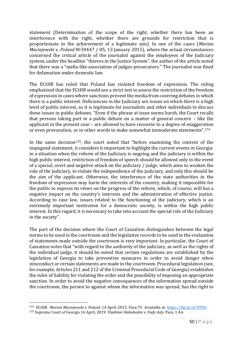statement (Determination of the scope of the right, whether there has been an interference with the right, whether there are grounds for restriction that is proportionate to the achievement of a legitimate aim). In one of the cases (*Marian Maciejewski v. Poland* №34447 / 05, 13 January 2015), where the actual circumstances concerned the critical article of the journalist against the employees of the Judiciary system, under the headline "thieves in the Justice System", the author of the article noted that there was a "mafia-like association of judges-prosecutors." The journalist was fined for defamation under domestic law.

The ECtHR has ruled that Poland has violated freedom of expression. The ruling emphasized that the ECtHR would use a strict test to assess the restriction of the freedom of expression in cases where sanctions prevent the media from covering debates in which there is a public interest. Deficiencies in the Judiciary are issues on which there is a high level of public interest, so it is legitimate for journalists and other individuals to discuss these issues in public debates. "Even if the phrase at issue seems harsh, the Court recalls that persons taking part in a public debate on a matter of general concern – like the applicant in the present case – are allowed to have recourse to a degree of exaggeration or even provocation, or in other words to make somewhat immoderate statements".<sup>174</sup>

In the same decision<sup>175</sup>, the court noted that "before examining the content of the impugned statement, it considers it important to highlight the current events in Georgia: in a situation when the reform of the Judiciary is ongoing and the judiciary is within the high public interest, restriction of freedom of speech should be allowed only in the event of a special, overt and negative attack on the judiciary / judge, which aims to weaken the role of the judiciary, to violate the independence of the judiciary, and only this should be the aim of the applicant. Otherwise, the interference of the state authorities in the freedom of expression may harm the interests of the country, making it impossible for the public to express its views on the progress of the reform, which, of course, will has a negative impact on the country's interests and the administration of effective justice. According to case law, issues related to the functioning of the judiciary, which is an extremely important institution for a democratic society, is within the high public interest. In this regard, it is necessary to take into account the special role of the Judiciary in the society".

The part of the decision where the Court of Cassation distinguishes between the legal norms to be used in the courtroom and the legislative records to be used in the evaluation of statements made outside the courtroom is very important. In particular, the Court of Cassation notes that "with regard to the authority of the judiciary, as well as the rights of the individual judge, it should be noted that certain regulations are established by the legislation of Georgia to take preventive measures in order to avoid danger when misconduct or certain statements are made in the courtroom. Procedural legislation (see, for example, Articles 211 and 212 of the Criminal Procedural Code of Georgia) establishes the rules of liability for violating the order and the possibility of imposing an appropriate sanction. In order to avoid the negative consequences of the information spread outside the courtroom, the person to against whom the information was spread, has the right to

<sup>174</sup> ECtHR. *Marian Maciejewski v. Poland.* 14 April, 2015. Para.79. Available at:<https://bit.ly/3c7FPtU>

<sup>175</sup> Supreme Court of Georgia 16 April, 2019. *Vladimer Kakabadze v. Fady Asly*. Para. 1.4.6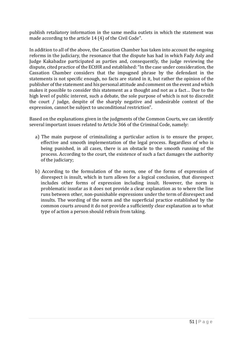publish retaliatory information in the same media outlets in which the statement was made according to the article 14 (4) of the Civil Code".

In addition to all of the above, the Cassation Chamber has taken into account the ongoing reforms in the judiciary, the resonance that the dispute has had in which Fady Asly and Judge Kakabadze participated as parties and, consequently, the judge reviewing the dispute, cited practice of the ECtHR and established:"In the case under consideration, the Cassation Chamber considers that the impugned phrase by the defendant in the statements is not specific enough, no facts are stated in it, but rather the opinion of the publisher of the statement and his personal attitude and comment on the event and which makes it possible to consider this statement as a thought and not as a fact… Due to the high level of public interest, such a debate, the sole purpose of which is not to discredit the court / judge, despite of the sharply negative and undesirable context of the expression, cannot be subject to unconditional restriction".

Based on the explanations given in the judgments of the Common Courts, we can identify several important issues related to Article 366 of the Criminal Code, namely:

- a) The main purpose of criminalizing a particular action is to ensure the proper, effective and smooth implementation of the legal process. Regardless of who is being punished, in all cases, there is an obstacle to the smooth running of the process. According to the court, the existence of such a fact damages the authority of the judiciary;
- b) According to the formulation of the norm, one of the forms of expression of disrespect is insult, which in turn allows for a logical conclusion, that disrespect includes other forms of expression including insult. However, the norm is problematic insofar as it does not provide a clear explanation as to where the line runs between other, non-punishable expressions under the term of disrespect and insults. The wording of the norm and the superficial practice established by the common courts around it do not provide a sufficiently clear explanation as to what type of action a person should refrain from taking.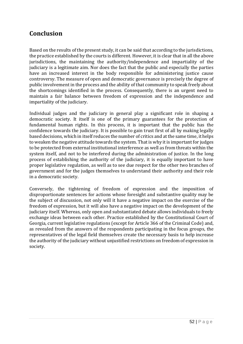### <span id="page-51-0"></span>**Conclusion**

Based on the results of the present study, it can be said that according to the jurisdictions, the practice established by the courts is different. However, it is clear that in all the above jurisdictions, the maintaining the authority/independence and impartiality of the judiciary is a legitimate aim. Nor does the fact that the public and especially the parties have an increased interest in the body responsible for administering justice cause controversy. The measure of open and democratic governance is precisely the degree of public involvement in the process and the ability of that community to speak freely about the shortcomings identified in the process. Consequently, there is an urgent need to maintain a fair balance between freedom of expression and the independence and impartiality of the judiciary.

Individual judges and the judiciary in general play a significant role in shaping a democratic society. It itself is one of the primary guarantees for the protection of fundamental human rights. In this process, it is important that the public has the confidence towards the judiciary. It is possible to gain trust first of all by making legally based decisions, which in itself reduces the number of critics and at the same time, it helps to weaken the negative attitude towards the system. That is why it is important for judges to be protected from external institutional interference as well as from threats within the system itself, and not to be interfered during the administration of justice. In the long process of establishing the authority of the judiciary, it is equally important to have proper legislative regulation, as well as to see due respect for the other two branches of government and for the judges themselves to understand their authority and their role in a democratic society.

Conversely, the tightening of freedom of expression and the imposition of disproportionate sentences for actions whose foresight and substantive quality may be the subject of discussion, not only will it have a negative impact on the exercise of the freedom of expression, but it will also have a negative impact on the development of the judiciary itself. Whereas, only open and substantiated debate allows individuals to freely exchange ideas between each other. Practice established by the Constitutional Court of Georgia, current legislative regulations (except for Article 366 of the Criminal Code) and, as revealed from the answers of the respondents participating in the focus groups, the representatives of the legal field themselves create the necessary basis to help increase the authority of the judiciary without unjustified restrictions on freedom of expression in society.